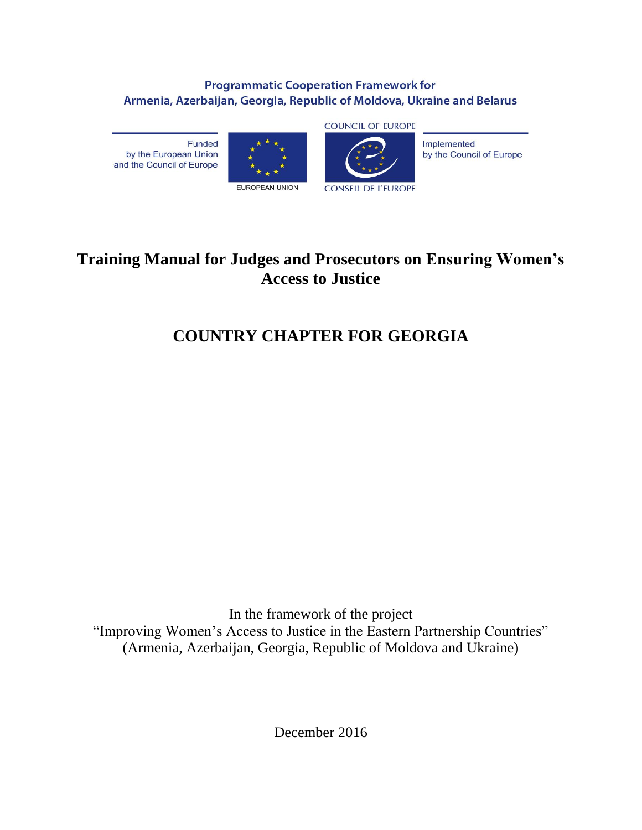#### **Programmatic Cooperation Framework for** Armenia, Azerbaijan, Georgia, Republic of Moldova, Ukraine and Belarus

Funded by the European Union and the Council of Europe





Implemented by the Council of Europe

## **Training Manual for Judges and Prosecutors on Ensuring Women's Access to Justice**

# **COUNTRY CHAPTER FOR GEORGIA**

In the framework of the project "Improving Women's Access to Justice in the Eastern Partnership Countries" (Armenia, Azerbaijan, Georgia, Republic of Moldova and Ukraine)

December 2016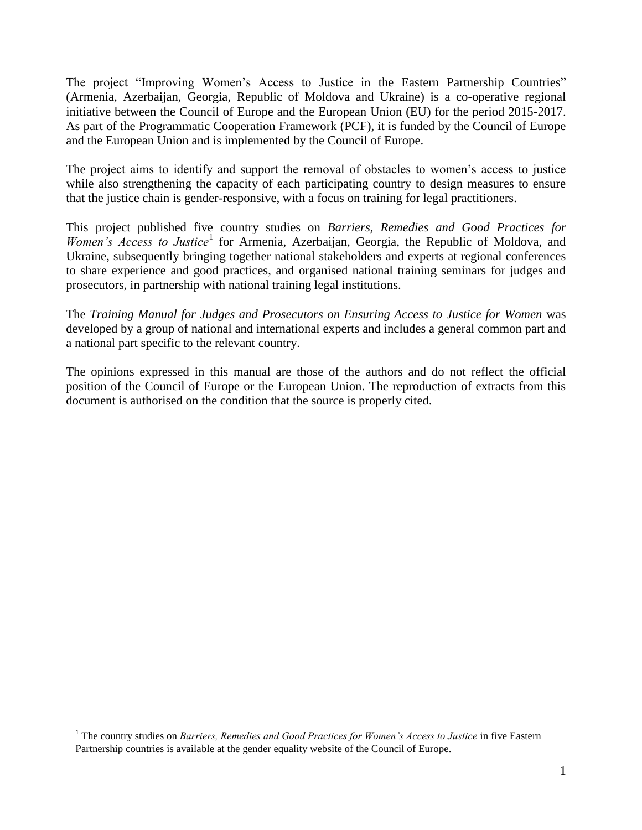The project "Improving Women's Access to Justice in the Eastern Partnership Countries" (Armenia, Azerbaijan, Georgia, Republic of Moldova and Ukraine) is a co-operative regional initiative between the Council of Europe and the European Union (EU) for the period 2015-2017. As part of the Programmatic Cooperation Framework (PCF), it is funded by the Council of Europe and the European Union and is implemented by the Council of Europe.

The project aims to identify and support the removal of obstacles to women's access to justice while also strengthening the capacity of each participating country to design measures to ensure that the justice chain is gender-responsive, with a focus on training for legal practitioners.

This project published five country studies on *Barriers, Remedies and Good Practices for*  Women's Access to Justice<sup>1</sup> for Armenia, Azerbaijan, Georgia, the Republic of Moldova, and Ukraine, subsequently bringing together national stakeholders and experts at regional conferences to share experience and good practices, and organised national training seminars for judges and prosecutors, in partnership with national training legal institutions.

The *Training Manual for Judges and Prosecutors on Ensuring Access to Justice for Women* was developed by a group of national and international experts and includes a general common part and a national part specific to the relevant country.

The opinions expressed in this manual are those of the authors and do not reflect the official position of the Council of Europe or the European Union. The reproduction of extracts from this document is authorised on the condition that the source is properly cited.

 1 The country studies on *Barriers, Remedies and Good Practices for Women's Access to Justice* in five Eastern Partnership countries is available at the gender equality website of the Council of Europe.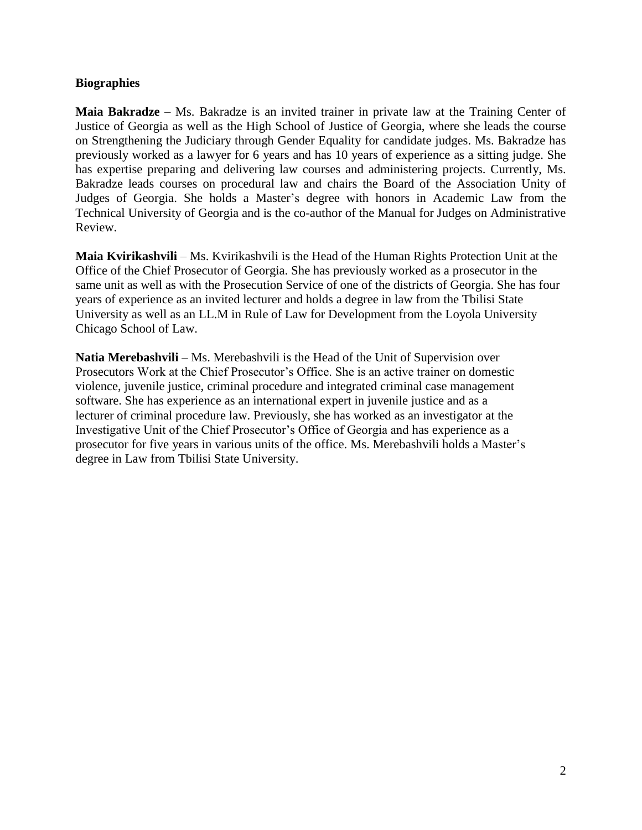#### **Biographies**

**Maia Bakradze** – Ms. Bakradze is an invited trainer in private law at the Training Center of Justice of Georgia as well as the High School of Justice of Georgia, where she leads the course on Strengthening the Judiciary through Gender Equality for candidate judges. Ms. Bakradze has previously worked as a lawyer for 6 years and has 10 years of experience as a sitting judge. She has expertise preparing and delivering law courses and administering projects. Currently, Ms. Bakradze leads courses on procedural law and chairs the Board of the Association Unity of Judges of Georgia. She holds a Master's degree with honors in Academic Law from the Technical University of Georgia and is the co-author of the Manual for Judges on Administrative Review.

**Maia Kvirikashvili** – Ms. Kvirikashvili is the Head of the Human Rights Protection Unit at the Office of the Chief Prosecutor of Georgia. She has previously worked as a prosecutor in the same unit as well as with the Prosecution Service of one of the districts of Georgia. She has four years of experience as an invited lecturer and holds a degree in law from the Tbilisi State University as well as an LL.M in Rule of Law for Development from the Loyola University Chicago School of Law.

**Natia Merebashvili** – Ms. Merebashvili is the Head of the Unit of Supervision over Prosecutors Work at the Chief Prosecutor's Office. She is an active trainer on domestic violence, juvenile justice, criminal procedure and integrated criminal case management software. She has experience as an international expert in juvenile justice and as a lecturer of criminal procedure law. Previously, she has worked as an investigator at the Investigative Unit of the Chief Prosecutor's Office of Georgia and has experience as a prosecutor for five years in various units of the office. Ms. Merebashvili holds a Master's degree in Law from Tbilisi State University.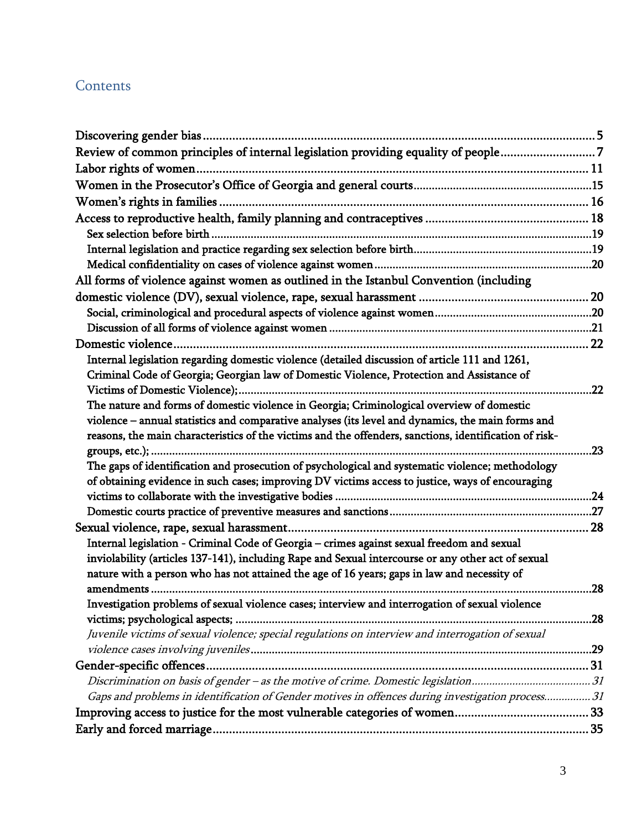### **Contents**

| Review of common principles of internal legislation providing equality of people7                      |     |
|--------------------------------------------------------------------------------------------------------|-----|
|                                                                                                        |     |
|                                                                                                        |     |
| Women's rights in families                                                                             |     |
|                                                                                                        |     |
|                                                                                                        |     |
|                                                                                                        |     |
|                                                                                                        |     |
| All forms of violence against women as outlined in the Istanbul Convention (including                  |     |
|                                                                                                        |     |
|                                                                                                        |     |
|                                                                                                        |     |
|                                                                                                        |     |
| Internal legislation regarding domestic violence (detailed discussion of article 111 and 1261,         |     |
| Criminal Code of Georgia; Georgian law of Domestic Violence, Protection and Assistance of              |     |
|                                                                                                        | .22 |
| The nature and forms of domestic violence in Georgia; Criminological overview of domestic              |     |
| violence - annual statistics and comparative analyses (its level and dynamics, the main forms and      |     |
| reasons, the main characteristics of the victims and the offenders, sanctions, identification of risk- |     |
|                                                                                                        | .23 |
| The gaps of identification and prosecution of psychological and systematic violence; methodology       |     |
| of obtaining evidence in such cases; improving DV victims access to justice, ways of encouraging       |     |
|                                                                                                        |     |
|                                                                                                        |     |
|                                                                                                        |     |
| Internal legislation - Criminal Code of Georgia - crimes against sexual freedom and sexual             |     |
| inviolability (articles 137-141), including Rape and Sexual intercourse or any other act of sexual     |     |
| nature with a person who has not attained the age of 16 years; gaps in law and necessity of            |     |
|                                                                                                        | .28 |
| Investigation problems of sexual violence cases; interview and interrogation of sexual violence        |     |
|                                                                                                        |     |
| Juvenile victims of sexual violence; special regulations on interview and interrogation of sexual      |     |
|                                                                                                        |     |
|                                                                                                        |     |
|                                                                                                        |     |
| Gaps and problems in identification of Gender motives in offences during investigation process31       |     |
|                                                                                                        |     |
|                                                                                                        |     |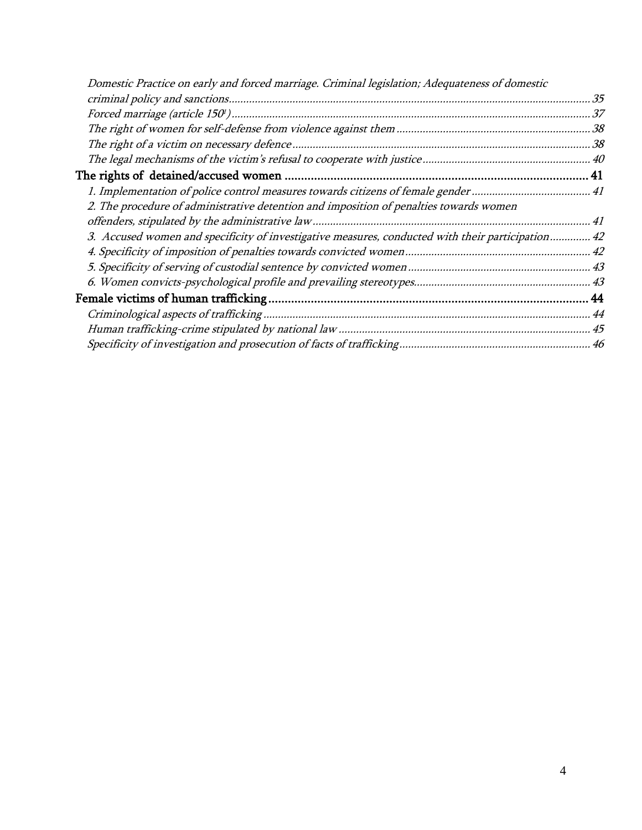| Domestic Practice on early and forced marriage. Criminal legislation; Adequateness of domestic    |  |
|---------------------------------------------------------------------------------------------------|--|
|                                                                                                   |  |
|                                                                                                   |  |
|                                                                                                   |  |
|                                                                                                   |  |
|                                                                                                   |  |
|                                                                                                   |  |
|                                                                                                   |  |
| 2. The procedure of administrative detention and imposition of penalties towards women            |  |
|                                                                                                   |  |
| 3. Accused women and specificity of investigative measures, conducted with their participation 42 |  |
|                                                                                                   |  |
|                                                                                                   |  |
|                                                                                                   |  |
|                                                                                                   |  |
|                                                                                                   |  |
|                                                                                                   |  |
|                                                                                                   |  |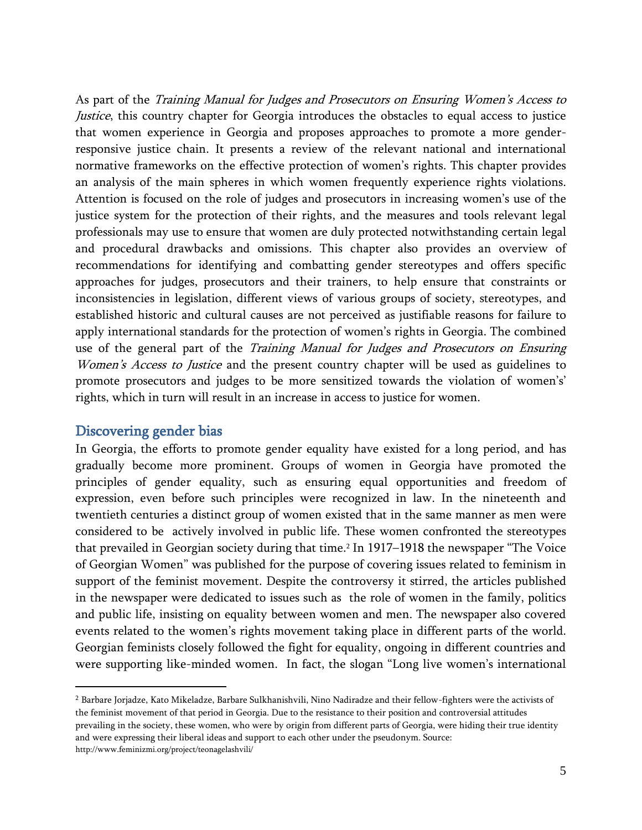As part of the Training Manual for Judges and Prosecutors on Ensuring Women's Access to Justice, this country chapter for Georgia introduces the obstacles to equal access to justice that women experience in Georgia and proposes approaches to promote a more genderresponsive justice chain. It presents a review of the relevant national and international normative frameworks on the effective protection of women's rights. This chapter provides an analysis of the main spheres in which women frequently experience rights violations. Attention is focused on the role of judges and prosecutors in increasing women's use of the justice system for the protection of their rights, and the measures and tools relevant legal professionals may use to ensure that women are duly protected notwithstanding certain legal and procedural drawbacks and omissions. This chapter also provides an overview of recommendations for identifying and combatting gender stereotypes and offers specific approaches for judges, prosecutors and their trainers, to help ensure that constraints or inconsistencies in legislation, different views of various groups of society, stereotypes, and established historic and cultural causes are not perceived as justifiable reasons for failure to apply international standards for the protection of women's rights in Georgia. The combined use of the general part of the Training Manual for Judges and Prosecutors on Ensuring Women's Access to Justice and the present country chapter will be used as guidelines to promote prosecutors and judges to be more sensitized towards the violation of women's' rights, which in turn will result in an increase in access to justice for women.

#### <span id="page-5-0"></span>Discovering gender bias

 $\overline{a}$ 

In Georgia, the efforts to promote gender equality have existed for a long period, and has gradually become more prominent. Groups of women in Georgia have promoted the principles of gender equality, such as ensuring equal opportunities and freedom of expression, even before such principles were recognized in law. In the nineteenth and twentieth centuries a distinct group of women existed that in the same manner as men were considered to be actively involved in public life. These women confronted the stereotypes that prevailed in Georgian society during that time. <sup>2</sup> In 1917–1918 the newspaper "The Voice of Georgian Women" was published for the purpose of covering issues related to feminism in support of the feminist movement. Despite the controversy it stirred, the articles published in the newspaper were dedicated to issues such as the role of women in the family, politics and public life, insisting on equality between women and men. The newspaper also covered events related to the women's rights movement taking place in different parts of the world. Georgian feminists closely followed the fight for equality, ongoing in different countries and were supporting like-minded women. In fact, the slogan "Long live women's international

<sup>2</sup> Barbare Jorjadze, Kato Mikeladze, Barbare Sulkhanishvili, Nino Nadiradze and their fellow-fighters were the activists of the feminist movement of that period in Georgia. Due to the resistance to their position and controversial attitudes prevailing in the society, these women, who were by origin from different parts of Georgia, were hiding their true identity and were expressing their liberal ideas and support to each other under the pseudonym. Source: http://www.feminizmi.org/project/teonagelashvili/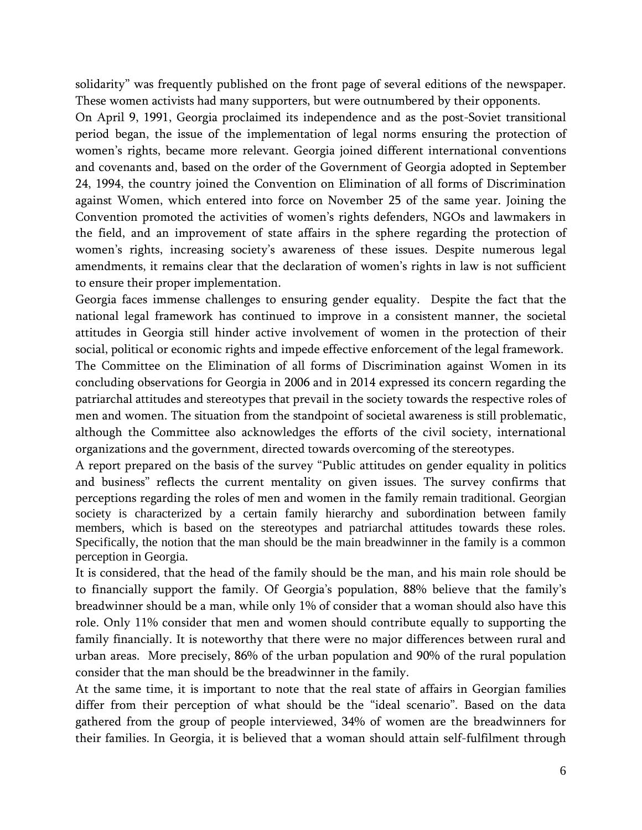solidarity" was frequently published on the front page of several editions of the newspaper. These women activists had many supporters, but were outnumbered by their opponents.

On April 9, 1991, Georgia proclaimed its independence and as the post-Soviet transitional period began, the issue of the implementation of legal norms ensuring the protection of women's rights, became more relevant. Georgia joined different international conventions and covenants and, based on the order of the Government of Georgia adopted in September 24, 1994, the country joined the Convention on Elimination of all forms of Discrimination against Women, which entered into force on November 25 of the same year. Joining the Convention promoted the activities of women's rights defenders, NGOs and lawmakers in the field, and an improvement of state affairs in the sphere regarding the protection of women's rights, increasing society's awareness of these issues. Despite numerous legal amendments, it remains clear that the declaration of women's rights in law is not sufficient to ensure their proper implementation.

Georgia faces immense challenges to ensuring gender equality. Despite the fact that the national legal framework has continued to improve in a consistent manner, the societal attitudes in Georgia still hinder active involvement of women in the protection of their social, political or economic rights and impede effective enforcement of the legal framework.

The Committee on the Elimination of all forms of Discrimination against Women in its concluding observations for Georgia in 2006 and in 2014 expressed its concern regarding the patriarchal attitudes and stereotypes that prevail in the society towards the respective roles of men and women. The situation from the standpoint of societal awareness is still problematic, although the Committee also acknowledges the efforts of the civil society, international organizations and the government, directed towards overcoming of the stereotypes.

A report prepared on the basis of the survey "Public attitudes on gender equality in politics and business" reflects the current mentality on given issues. The survey confirms that perceptions regarding the roles of men and women in the family remain traditional. Georgian society is characterized by a certain family hierarchy and subordination between family members, which is based on the stereotypes and patriarchal attitudes towards these roles. Specifically, the notion that the man should be the main breadwinner in the family is a common perception in Georgia.

It is considered, that the head of the family should be the man, and his main role should be to financially support the family. Of Georgia's population, 88% believe that the family's breadwinner should be a man, while only 1% of consider that a woman should also have this role. Only 11% consider that men and women should contribute equally to supporting the family financially. It is noteworthy that there were no major differences between rural and urban areas. More precisely, 86% of the urban population and 90% of the rural population consider that the man should be the breadwinner in the family.

At the same time, it is important to note that the real state of affairs in Georgian families differ from their perception of what should be the "ideal scenario". Based on the data gathered from the group of people interviewed, 34% of women are the breadwinners for their families. In Georgia, it is believed that a woman should attain self-fulfilment through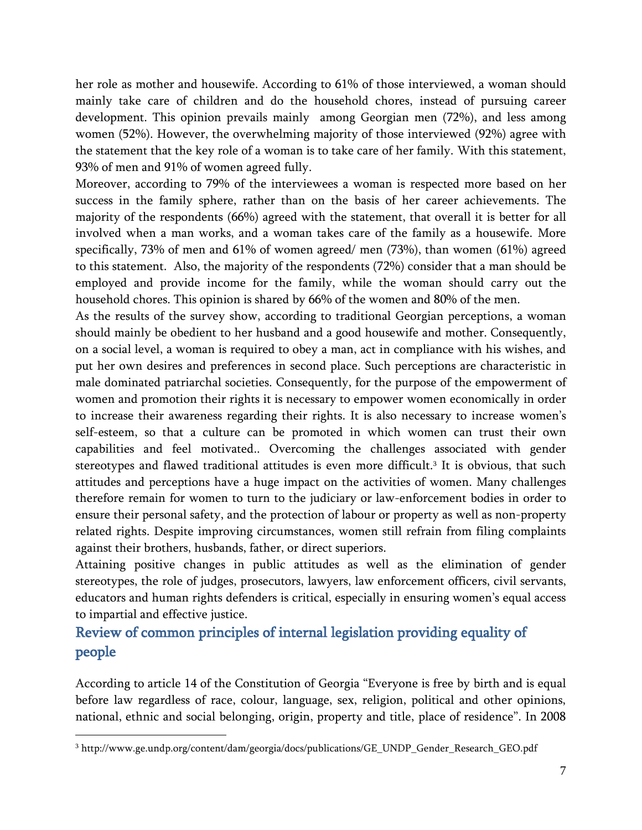her role as mother and housewife. According to 61% of those interviewed, a woman should mainly take care of children and do the household chores, instead of pursuing career development. This opinion prevails mainly among Georgian men (72%), and less among women (52%). However, the overwhelming majority of those interviewed (92%) agree with the statement that the key role of a woman is to take care of her family. With this statement, 93% of men and 91% of women agreed fully.

Moreover, according to 79% of the interviewees a woman is respected more based on her success in the family sphere, rather than on the basis of her career achievements. The majority of the respondents (66%) agreed with the statement, that overall it is better for all involved when a man works, and a woman takes care of the family as a housewife. More specifically, 73% of men and 61% of women agreed/ men (73%), than women (61%) agreed to this statement. Also, the majority of the respondents (72%) consider that a man should be employed and provide income for the family, while the woman should carry out the household chores. This opinion is shared by 66% of the women and 80% of the men.

As the results of the survey show, according to traditional Georgian perceptions, a woman should mainly be obedient to her husband and a good housewife and mother. Consequently, on a social level, a woman is required to obey a man, act in compliance with his wishes, and put her own desires and preferences in second place. Such perceptions are characteristic in male dominated patriarchal societies. Consequently, for the purpose of the empowerment of women and promotion their rights it is necessary to empower women economically in order to increase their awareness regarding their rights. It is also necessary to increase women's self-esteem, so that a culture can be promoted in which women can trust their own capabilities and feel motivated.. Overcoming the challenges associated with gender stereotypes and flawed traditional attitudes is even more difficult.<sup>3</sup> It is obvious, that such attitudes and perceptions have a huge impact on the activities of women. Many challenges therefore remain for women to turn to the judiciary or law-enforcement bodies in order to ensure their personal safety, and the protection of labour or property as well as non-property related rights. Despite improving circumstances, women still refrain from filing complaints against their brothers, husbands, father, or direct superiors.

Attaining positive changes in public attitudes as well as the elimination of gender stereotypes, the role of judges, prosecutors, lawyers, law enforcement officers, civil servants, educators and human rights defenders is critical, especially in ensuring women's equal access to impartial and effective justice.

### <span id="page-7-0"></span>Review of common principles of internal legislation providing equality of people

According to article 14 of the Constitution of Georgia "Everyone is free by birth and is equal before law regardless of race, colour, language, sex, religion, political and other opinions, national, ethnic and social belonging, origin, property and title, place of residence". In 2008

 $\overline{a}$ 

<sup>3</sup> http://www.ge.undp.org/content/dam/georgia/docs/publications/GE\_UNDP\_Gender\_Research\_GEO.pdf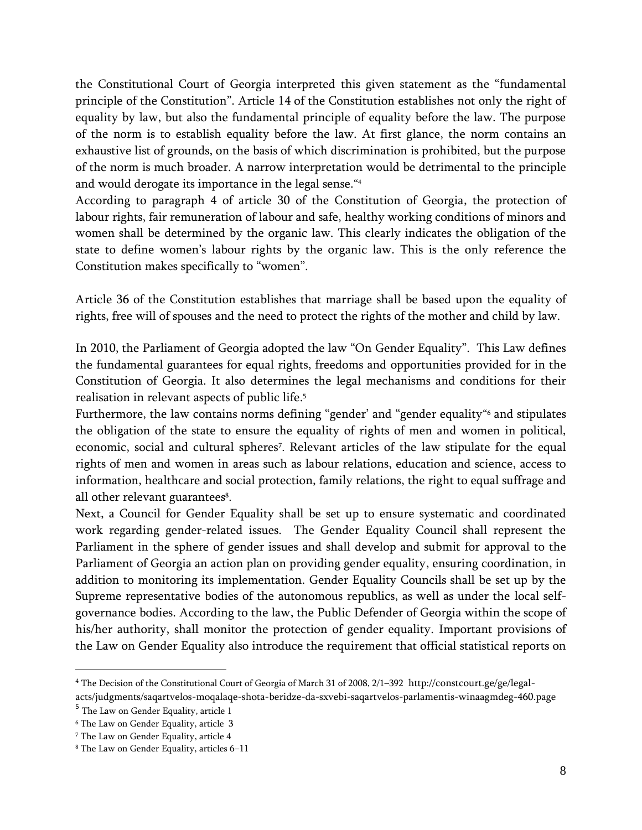the Constitutional Court of Georgia interpreted this given statement as the "fundamental principle of the Constitution". Article 14 of the Constitution establishes not only the right of equality by law, but also the fundamental principle of equality before the law. The purpose of the norm is to establish equality before the law. At first glance, the norm contains an exhaustive list of grounds, on the basis of which discrimination is prohibited, but the purpose of the norm is much broader. A narrow interpretation would be detrimental to the principle and would derogate its importance in the legal sense." 4

According to paragraph 4 of article 30 of the Constitution of Georgia, the protection of labour rights, fair remuneration of labour and safe, healthy working conditions of minors and women shall be determined by the organic law. This clearly indicates the obligation of the state to define women's labour rights by the organic law. This is the only reference the Constitution makes specifically to "women".

Article 36 of the Constitution establishes that marriage shall be based upon the equality of rights, free will of spouses and the need to protect the rights of the mother and child by law.

In 2010, the Parliament of Georgia adopted the law "On Gender Equality". This Law defines the fundamental guarantees for equal rights, freedoms and opportunities provided for in the Constitution of Georgia. It also determines the legal mechanisms and conditions for their realisation in relevant aspects of public life. 5

Furthermore, the law contains norms defining "gender' and "gender equality" <sup>6</sup> and stipulates the obligation of the state to ensure the equality of rights of men and women in political, economic, social and cultural spheres<sup>7</sup> . Relevant articles of the law stipulate for the equal rights of men and women in areas such as labour relations, education and science, access to information, healthcare and social protection, family relations, the right to equal suffrage and all other relevant guarantees<sup>8</sup>.

Next, a Council for Gender Equality shall be set up to ensure systematic and coordinated work regarding gender-related issues. The Gender Equality Council shall represent the Parliament in the sphere of gender issues and shall develop and submit for approval to the Parliament of Georgia an action plan on providing gender equality, ensuring coordination, in addition to monitoring its implementation. Gender Equality Councils shall be set up by the Supreme representative bodies of the autonomous republics, as well as under the local selfgovernance bodies. According to the law, the Public Defender of Georgia within the scope of his/her authority, shall monitor the protection of gender equality. Important provisions of the Law on Gender Equality also introduce the requirement that official statistical reports on

l

<sup>4</sup> The Decision of the Constitutional Court of Georgia of March 31 of 2008, 2/1–392 http://constcourt.ge/ge/legalacts/judgments/saqartvelos-moqalaqe-shota-beridze-da-sxvebi-saqartvelos-parlamentis-winaagmdeg-460.page

<sup>&</sup>lt;sup>5</sup> The Law on Gender Equality, article 1

<sup>6</sup> The Law on Gender Equality, article 3

<sup>7</sup> The Law on Gender Equality, article 4

<sup>8</sup> The Law on Gender Equality, articles 6–11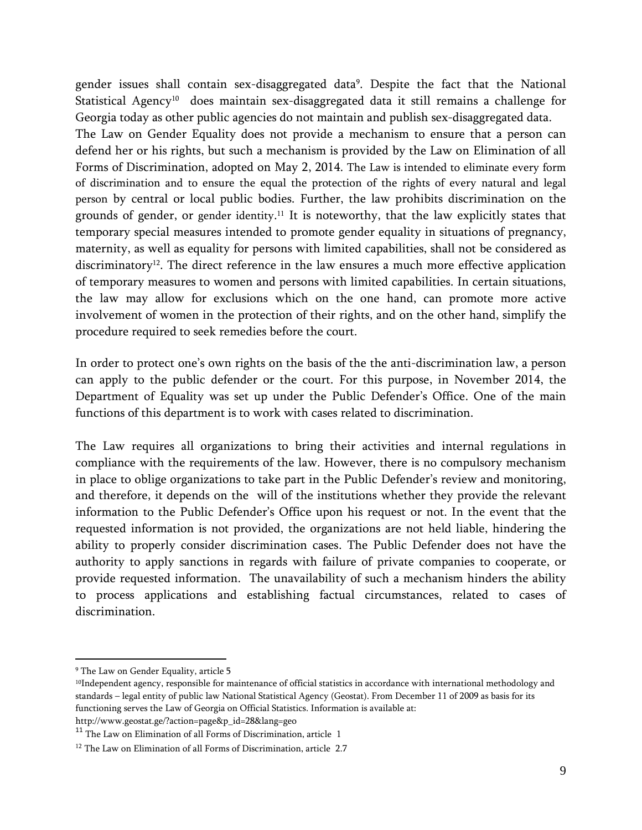gender issues shall contain sex-disaggregated data<sup>9</sup> . Despite the fact that the National Statistical Agency<sup>10</sup> does maintain sex-disaggregated data it still remains a challenge for Georgia today as other public agencies do not maintain and publish sex-disaggregated data.

The Law on Gender Equality does not provide a mechanism to ensure that a person can defend her or his rights, but such a mechanism is provided by the Law on Elimination of all Forms of Discrimination, adopted on May 2, 2014. The Law is intended to eliminate every form of discrimination and to ensure the equal the protection of the rights of every natural and legal person by central or local public bodies. Further, the law prohibits discrimination on the grounds of gender, or gender identity. <sup>11</sup> It is noteworthy, that the law explicitly states that temporary special measures intended to promote gender equality in situations of pregnancy, maternity, as well as equality for persons with limited capabilities, shall not be considered as discriminatory<sup>12</sup>. The direct reference in the law ensures a much more effective application of temporary measures to women and persons with limited capabilities. In certain situations, the law may allow for exclusions which on the one hand, can promote more active involvement of women in the protection of their rights, and on the other hand, simplify the procedure required to seek remedies before the court.

In order to protect one's own rights on the basis of the the anti-discrimination law, a person can apply to the public defender or the court. For this purpose, in November 2014, the Department of Equality was set up under the Public Defender's Office. One of the main functions of this department is to work with cases related to discrimination.

The Law requires all organizations to bring their activities and internal regulations in compliance with the requirements of the law. However, there is no compulsory mechanism in place to oblige organizations to take part in the Public Defender's review and monitoring, and therefore, it depends on the will of the institutions whether they provide the relevant information to the Public Defender's Office upon his request or not. In the event that the requested information is not provided, the organizations are not held liable, hindering the ability to properly consider discrimination cases. The Public Defender does not have the authority to apply sanctions in regards with failure of private companies to cooperate, or provide requested information. The unavailability of such a mechanism hinders the ability to process applications and establishing factual circumstances, related to cases of discrimination.

<sup>9</sup> The Law on Gender Equality, article 5

<sup>&</sup>lt;sup>10</sup>Independent agency, responsible for maintenance of official statistics in accordance with international methodology and standards – legal entity of public law National Statistical Agency (Geostat). From December 11 of 2009 as basis for its functioning serves the Law of Georgia on Official Statistics. Information is available at: http://www.geostat.ge/?action=page&p\_id=28&lang=geo

 $^{\rm 11}$  The Law on Elimination of all Forms of Discrimination, article  $\,$  1

<sup>&</sup>lt;sup>12</sup> The Law on Elimination of all Forms of Discrimination, article 2.7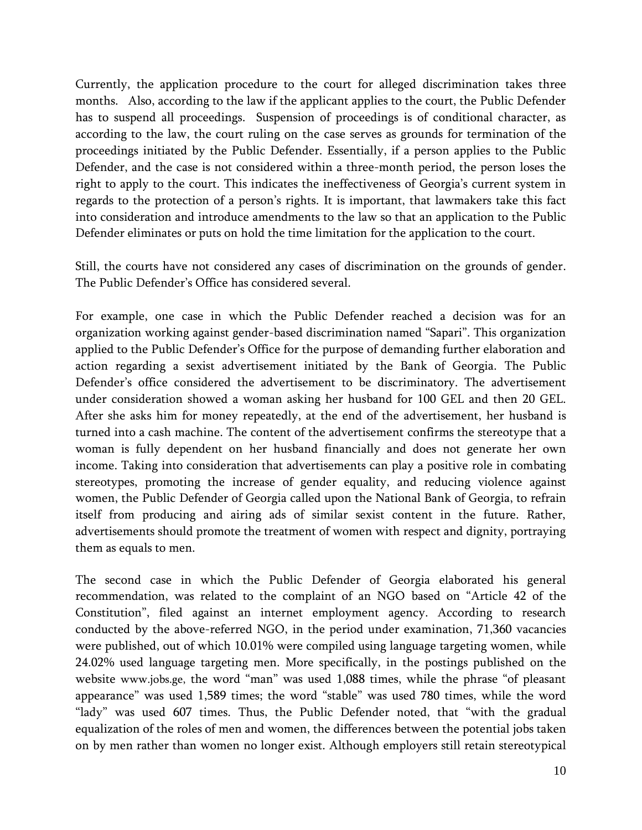Currently, the application procedure to the court for alleged discrimination takes three months. Also, according to the law if the applicant applies to the court, the Public Defender has to suspend all proceedings. Suspension of proceedings is of conditional character, as according to the law, the court ruling on the case serves as grounds for termination of the proceedings initiated by the Public Defender. Essentially, if a person applies to the Public Defender, and the case is not considered within a three-month period, the person loses the right to apply to the court. This indicates the ineffectiveness of Georgia's current system in regards to the protection of a person's rights. It is important, that lawmakers take this fact into consideration and introduce amendments to the law so that an application to the Public Defender eliminates or puts on hold the time limitation for the application to the court.

Still, the courts have not considered any cases of discrimination on the grounds of gender. The Public Defender's Office has considered several.

For example, one case in which the Public Defender reached a decision was for an organization working against gender-based discrimination named "Sapari". This organization applied to the Public Defender's Office for the purpose of demanding further elaboration and action regarding a sexist advertisement initiated by the Bank of Georgia. The Public Defender's office considered the advertisement to be discriminatory. The advertisement under consideration showed a woman asking her husband for 100 GEL and then 20 GEL. After she asks him for money repeatedly, at the end of the advertisement, her husband is turned into a cash machine. The content of the advertisement confirms the stereotype that a woman is fully dependent on her husband financially and does not generate her own income. Taking into consideration that advertisements can play a positive role in combating stereotypes, promoting the increase of gender equality, and reducing violence against women, the Public Defender of Georgia called upon the National Bank of Georgia, to refrain itself from producing and airing ads of similar sexist content in the future. Rather, advertisements should promote the treatment of women with respect and dignity, portraying them as equals to men.

The second case in which the Public Defender of Georgia elaborated his general recommendation, was related to the complaint of an NGO based on "Article 42 of the Constitution", filed against an internet employment agency. According to research conducted by the above-referred NGO, in the period under examination, 71,360 vacancies were published, out of which 10.01% were compiled using language targeting women, while 24.02% used language targeting men. More specifically, in the postings published on the website [www.jobs.ge,](http://www.jobs.ge/) the word "man" was used 1,088 times, while the phrase "of pleasant appearance" was used 1,589 times; the word "stable" was used 780 times, while the word "lady" was used 607 times. Thus, the Public Defender noted, that "with the gradual equalization of the roles of men and women, the differences between the potential jobs taken on by men rather than women no longer exist. Although employers still retain stereotypical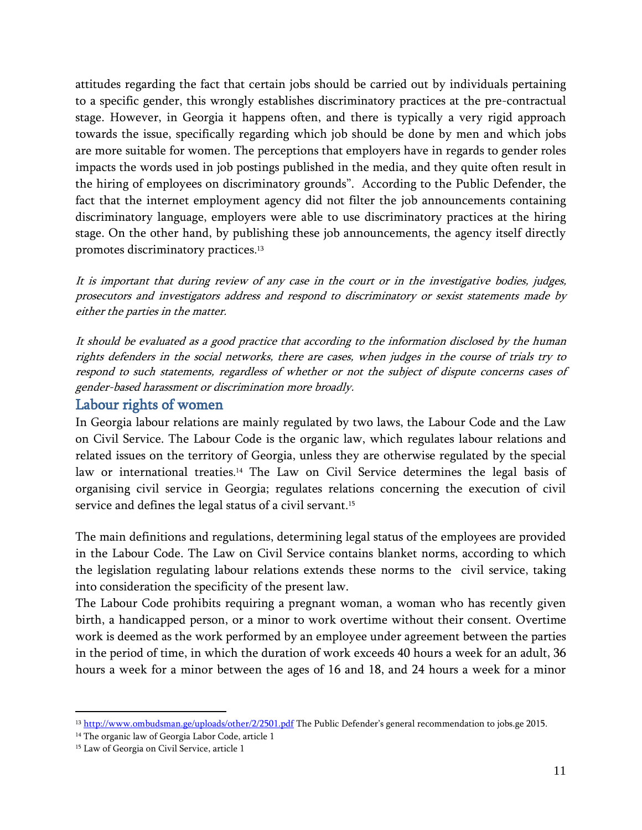attitudes regarding the fact that certain jobs should be carried out by individuals pertaining to a specific gender, this wrongly establishes discriminatory practices at the pre-contractual stage. However, in Georgia it happens often, and there is typically a very rigid approach towards the issue, specifically regarding which job should be done by men and which jobs are more suitable for women. The perceptions that employers have in regards to gender roles impacts the words used in job postings published in the media, and they quite often result in the hiring of employees on discriminatory grounds". According to the Public Defender, the fact that the internet employment agency did not filter the job announcements containing discriminatory language, employers were able to use discriminatory practices at the hiring stage. On the other hand, by publishing these job announcements, the agency itself directly promotes discriminatory practices. 13

It is important that during review of any case in the court or in the investigative bodies, judges, prosecutors and investigators address and respond to discriminatory or sexist statements made by either the parties in the matter.

It should be evaluated as a good practice that according to the information disclosed by the human rights defenders in the social networks, there are cases, when judges in the course of trials try to respond to such statements, regardless of whether or not the subject of dispute concerns cases of gender-based harassment or discrimination more broadly.

#### <span id="page-11-0"></span>Labour rights of women

In Georgia labour relations are mainly regulated by two laws, the Labour Code and the Law on Civil Service. The Labour Code is the organic law, which regulates labour relations and related issues on the territory of Georgia, unless they are otherwise regulated by the special law or international treaties. <sup>14</sup> The Law on Civil Service determines the legal basis of organising civil service in Georgia; regulates relations concerning the execution of civil service and defines the legal status of a civil servant. 15

The main definitions and regulations, determining legal status of the employees are provided in the Labour Code. The Law on Civil Service contains blanket norms, according to which the legislation regulating labour relations extends these norms to the civil service, taking into consideration the specificity of the present law.

The Labour Code prohibits requiring a pregnant woman, a woman who has recently given birth, a handicapped person, or a minor to work overtime without their consent. Overtime work is deemed as the work performed by an employee under agreement between the parties in the period of time, in which the duration of work exceeds 40 hours a week for an adult, 36 hours a week for a minor between the ages of 16 and 18, and 24 hours a week for a minor

<sup>&</sup>lt;sup>13</sup> <http://www.ombudsman.ge/uploads/other/2/2501.pdf> The Public Defender's general recommendation to jobs.ge 2015.

<sup>&</sup>lt;sup>14</sup> The organic law of Georgia Labor Code, article 1

<sup>&</sup>lt;sup>15</sup> Law of Georgia on Civil Service, article 1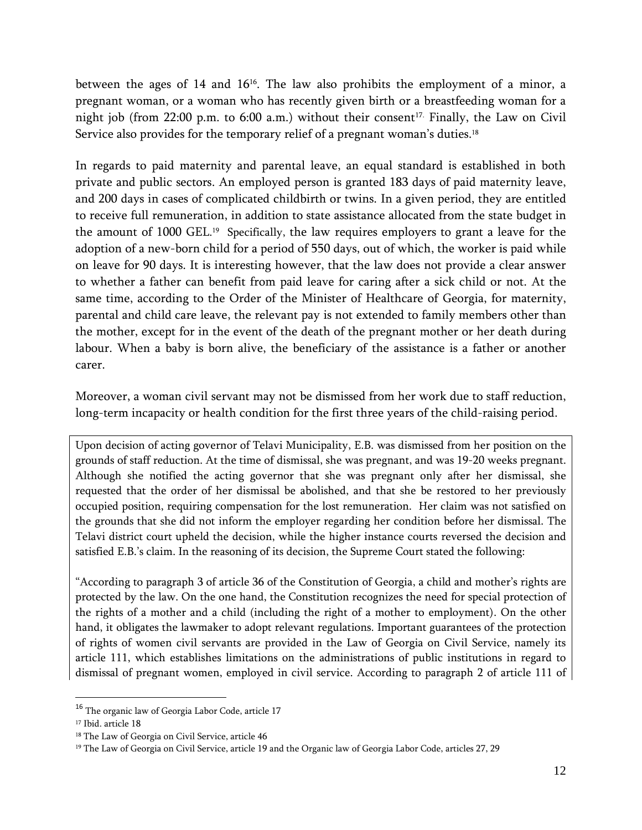between the ages of 14 and 16<sup>16</sup>. The law also prohibits the employment of a minor, a pregnant woman, or a woman who has recently given birth or a breastfeeding woman for a night job (from 22:00 p.m. to 6:00 a.m.) without their consent<sup>17.</sup> Finally, the Law on Civil Service also provides for the temporary relief of a pregnant woman's duties.<sup>18</sup>

In regards to paid maternity and parental leave, an equal standard is established in both private and public sectors. An employed person is granted 183 days of paid maternity leave, and 200 days in cases of complicated childbirth or twins. In a given period, they are entitled to receive full remuneration, in addition to state assistance allocated from the state budget in the amount of 1000 GEL. <sup>19</sup> Specifically, the law requires employers to grant a leave for the adoption of a new-born child for a period of 550 days, out of which, the worker is paid while on leave for 90 days. It is interesting however, that the law does not provide a clear answer to whether a father can benefit from paid leave for caring after a sick child or not. At the same time, according to the Order of the Minister of Healthcare of Georgia, for maternity, parental and child care leave, the relevant pay is not extended to family members other than the mother, except for in the event of the death of the pregnant mother or her death during labour. When a baby is born alive, the beneficiary of the assistance is a father or another carer.

Moreover, a woman civil servant may not be dismissed from her work due to staff reduction, long-term incapacity or health condition for the first three years of the child-raising period.

Upon decision of acting governor of Telavi Municipality, E.B. was dismissed from her position on the grounds of staff reduction. At the time of dismissal, she was pregnant, and was 19-20 weeks pregnant. Although she notified the acting governor that she was pregnant only after her dismissal, she requested that the order of her dismissal be abolished, and that she be restored to her previously occupied position, requiring compensation for the lost remuneration. Her claim was not satisfied on the grounds that she did not inform the employer regarding her condition before her dismissal. The Telavi district court upheld the decision, while the higher instance courts reversed the decision and satisfied E.B.'s claim. In the reasoning of its decision, the Supreme Court stated the following:

"According to paragraph 3 of article 36 of the Constitution of Georgia, a child and mother's rights are protected by the law. On the one hand, the Constitution recognizes the need for special protection of the rights of a mother and a child (including the right of a mother to employment). On the other hand, it obligates the lawmaker to adopt relevant regulations. Important guarantees of the protection of rights of women civil servants are provided in the Law of Georgia on Civil Service, namely its article 111, which establishes limitations on the administrations of public institutions in regard to dismissal of pregnant women, employed in civil service. According to paragraph 2 of article 111 of

<sup>16</sup> The organic law of Georgia Labor Code, article 17

<sup>&</sup>lt;sup>17</sup> Ibid. article 18

<sup>&</sup>lt;sup>18</sup> The Law of Georgia on Civil Service, article 46

<sup>&</sup>lt;sup>19</sup> The Law of Georgia on Civil Service, article 19 and the Organic law of Georgia Labor Code, articles 27, 29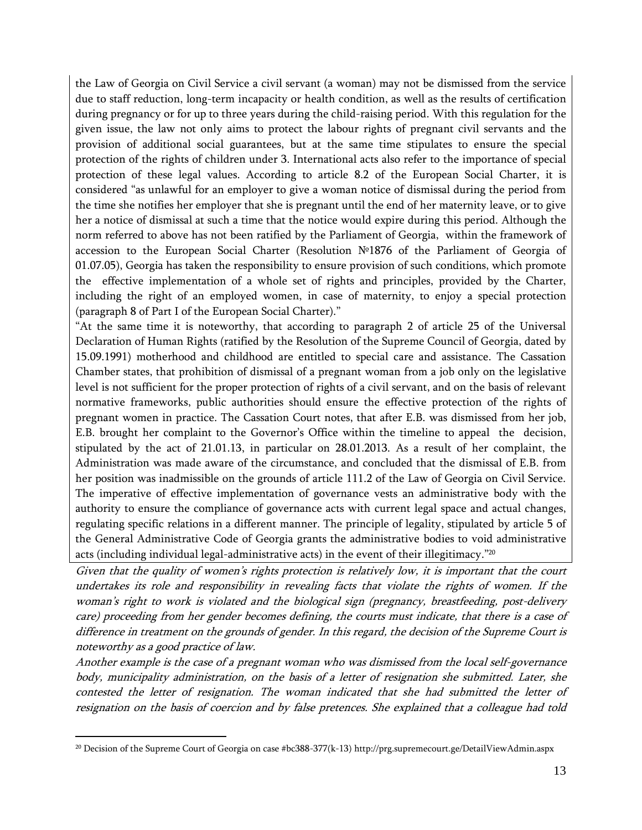the Law of Georgia on Civil Service a civil servant (a woman) may not be dismissed from the service due to staff reduction, long-term incapacity or health condition, as well as the results of certification during pregnancy or for up to three years during the child-raising period. With this regulation for the given issue, the law not only aims to protect the labour rights of pregnant civil servants and the provision of additional social guarantees, but at the same time stipulates to ensure the special protection of the rights of children under 3. International acts also refer to the importance of special protection of these legal values. According to article 8.2 of the European Social Charter, it is considered "as unlawful for an employer to give a woman notice of dismissal during the period from the time she notifies her employer that she is pregnant until the end of her maternity leave, or to give her a notice of dismissal at such a time that the notice would expire during this period. Although the norm referred to above has not been ratified by the Parliament of Georgia, within the framework of accession to the European Social Charter (Resolution №1876 of the Parliament of Georgia of 01.07.05), Georgia has taken the responsibility to ensure provision of such conditions, which promote the effective implementation of a whole set of rights and principles, provided by the Charter, including the right of an employed women, in case of maternity, to enjoy a special protection (paragraph 8 of Part I of the European Social Charter)."

"At the same time it is noteworthy, that according to paragraph 2 of article 25 of the Universal Declaration of Human Rights (ratified by the Resolution of the Supreme Council of Georgia, dated by 15.09.1991) motherhood and childhood are entitled to special care and assistance. The Cassation Chamber states, that prohibition of dismissal of a pregnant woman from a job only on the legislative level is not sufficient for the proper protection of rights of a civil servant, and on the basis of relevant normative frameworks, public authorities should ensure the effective protection of the rights of pregnant women in practice. The Cassation Court notes, that after E.B. was dismissed from her job, E.B. brought her complaint to the Governor's Office within the timeline to appeal the decision, stipulated by the act of 21.01.13, in particular on 28.01.2013. As a result of her complaint, the Administration was made aware of the circumstance, and concluded that the dismissal of E.B. from her position was inadmissible on the grounds of article 111.2 of the Law of Georgia on Civil Service. The imperative of effective implementation of governance vests an administrative body with the authority to ensure the compliance of governance acts with current legal space and actual changes, regulating specific relations in a different manner. The principle of legality, stipulated by article 5 of the General Administrative Code of Georgia grants the administrative bodies to void administrative acts (including individual legal-administrative acts) in the event of their illegitimacy." 20

Given that the quality of women's rights protection is relatively low, it is important that the court undertakes its role and responsibility in revealing facts that violate the rights of women. If the woman's right to work is violated and the biological sign (pregnancy, breastfeeding, post-delivery care) proceeding from her gender becomes defining, the courts must indicate, that there is a case of difference in treatment on the grounds of gender. In this regard, the decision of the Supreme Court is noteworthy as a good practice of law.

Another example is the case of a pregnant woman who was dismissed from the local self-governance body, municipality administration, on the basis of a letter of resignation she submitted. Later, she contested the letter of resignation. The woman indicated that she had submitted the letter of resignation on the basis of coercion and by false pretences. She explained that a colleague had told

<sup>20</sup> Decision of the Supreme Court of Georgia on case #bc388-377(k-13) http://prg.supremecourt.ge/DetailViewAdmin.aspx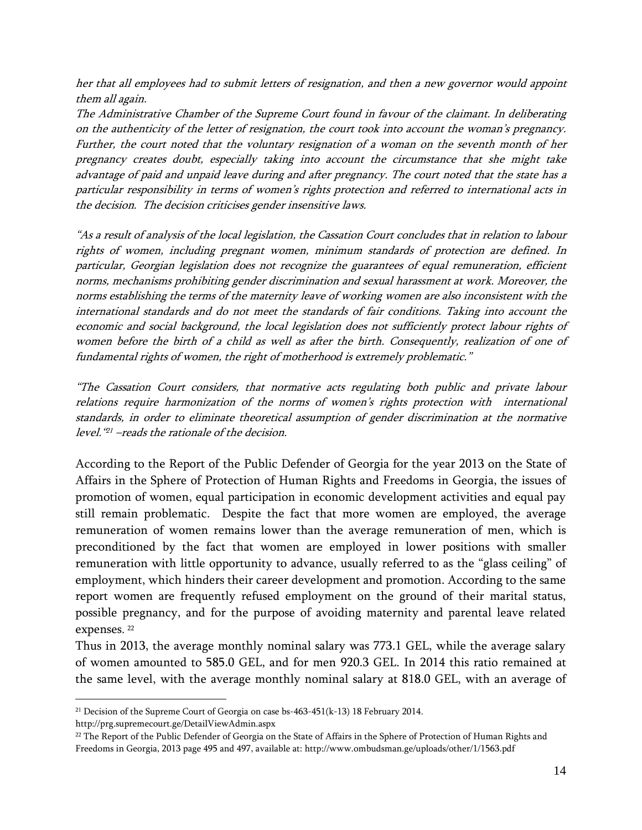her that all employees had to submit letters of resignation, and then a new governor would appoint them all again.

The Administrative Chamber of the Supreme Court found in favour of the claimant. In deliberating on the authenticity of the letter of resignation, the court took into account the woman's pregnancy. Further, the court noted that the voluntary resignation of a woman on the seventh month of her pregnancy creates doubt, especially taking into account the circumstance that she might take advantage of paid and unpaid leave during and after pregnancy. The court noted that the state has a particular responsibility in terms of women's rights protection and referred to international acts in the decision. The decision criticises gender insensitive laws.

"As a result of analysis of the local legislation, the Cassation Court concludes that in relation to labour rights of women, including pregnant women, minimum standards of protection are defined. In particular, Georgian legislation does not recognize the guarantees of equal remuneration, efficient norms, mechanisms prohibiting gender discrimination and sexual harassment at work. Moreover, the norms establishing the terms of the maternity leave of working women are also inconsistent with the international standards and do not meet the standards of fair conditions. Taking into account the economic and social background, the local legislation does not sufficiently protect labour rights of women before the birth of a child as well as after the birth. Consequently, realization of one of fundamental rights of women, the right of motherhood is extremely problematic."

"The Cassation Court considers, that normative acts regulating both public and private labour relations require harmonization of the norms of women's rights protection with international standards, in order to eliminate theoretical assumption of gender discrimination at the normative level." <sup>21</sup> –reads the rationale of the decision.

According to the Report of the Public Defender of Georgia for the year 2013 on the State of Affairs in the Sphere of Protection of Human Rights and Freedoms in Georgia, the issues of promotion of women, equal participation in economic development activities and equal pay still remain problematic. Despite the fact that more women are employed, the average remuneration of women remains lower than the average remuneration of men, which is preconditioned by the fact that women are employed in lower positions with smaller remuneration with little opportunity to advance, usually referred to as the "glass ceiling" of employment, which hinders their career development and promotion. According to the same report women are frequently refused employment on the ground of their marital status, possible pregnancy, and for the purpose of avoiding maternity and parental leave related expenses. 22

Thus in 2013, the average monthly nominal salary was 773.1 GEL, while the average salary of women amounted to 585.0 GEL, and for men 920.3 GEL. In 2014 this ratio remained at the same level, with the average monthly nominal salary at 818.0 GEL, with an average of

http://prg.supremecourt.ge/DetailViewAdmin.aspx

<sup>&</sup>lt;sup>21</sup> Decision of the Supreme Court of Georgia on case bs-463-451(k-13) 18 February 2014.

<sup>&</sup>lt;sup>22</sup> The Report of the Public Defender of Georgia on the State of Affairs in the Sphere of Protection of Human Rights and Freedoms in Georgia, 2013 page 495 and 497, available at: http://www.ombudsman.ge/uploads/other/1/1563.pdf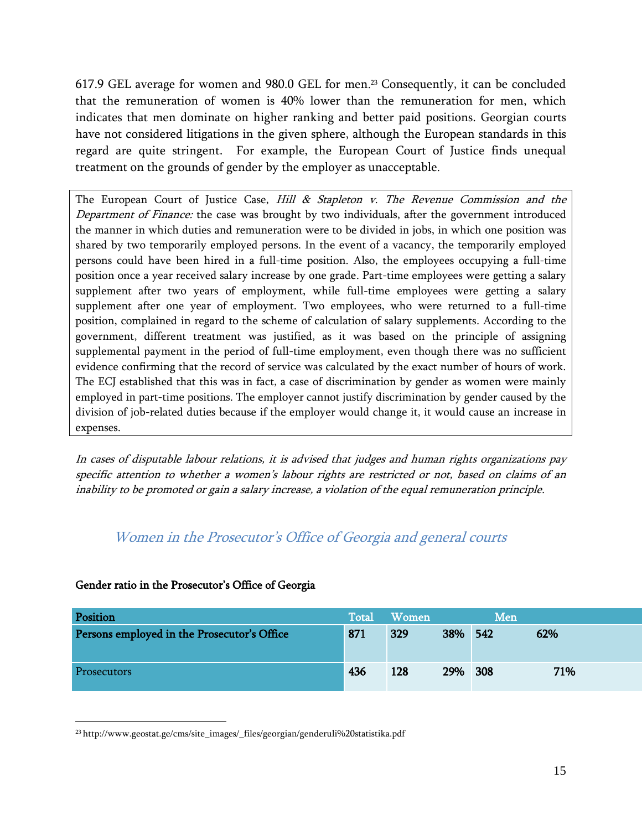617.9 GEL average for women and 980.0 GEL for men. <sup>23</sup> Consequently, it can be concluded that the remuneration of women is 40% lower than the remuneration for men, which indicates that men dominate on higher ranking and better paid positions. Georgian courts have not considered litigations in the given sphere, although the European standards in this regard are quite stringent. For example, the European Court of Justice finds unequal treatment on the grounds of gender by the employer as unacceptable.

The European Court of Justice Case, Hill  $\&$  Stapleton v. The Revenue Commission and the Department of Finance: the case was brought by two individuals, after the government introduced the manner in which duties and remuneration were to be divided in jobs, in which one position was shared by two temporarily employed persons. In the event of a vacancy, the temporarily employed persons could have been hired in a full-time position. Also, the employees occupying a full-time position once a year received salary increase by one grade. Part-time employees were getting a salary supplement after two years of employment, while full-time employees were getting a salary supplement after one year of employment. Two employees, who were returned to a full-time position, complained in regard to the scheme of calculation of salary supplements. According to the government, different treatment was justified, as it was based on the principle of assigning supplemental payment in the period of full-time employment, even though there was no sufficient evidence confirming that the record of service was calculated by the exact number of hours of work. The ECJ established that this was in fact, a case of discrimination by gender as women were mainly employed in part-time positions. The employer cannot justify discrimination by gender caused by the division of job-related duties because if the employer would change it, it would cause an increase in expenses.

In cases of disputable labour relations, it is advised that judges and human rights organizations pay specific attention to whether a women's labour rights are restricted or not, based on claims of an inability to be promoted or gain a salary increase, a violation of the equal remuneration principle.

### <span id="page-15-0"></span>Women in the Prosecutor's Office of Georgia and general courts

# Position and the control of the control of the control  $\mathbb{R}^n$  Total Women Men Persons employed in the Prosecutor's Office 871 871 329 38% 542 62% Prosecutors 436 128 29% 308 71%

#### Gender ratio in the Prosecutor's Office of Georgia

 $\overline{a}$ 

<sup>23</sup> [http://www.geostat.ge/cms/site\\_images/\\_files/georgian/genderuli%20statistika.pdf](http://www.geostat.ge/cms/site_images/_files/georgian/genderuli%20statistika.pdf)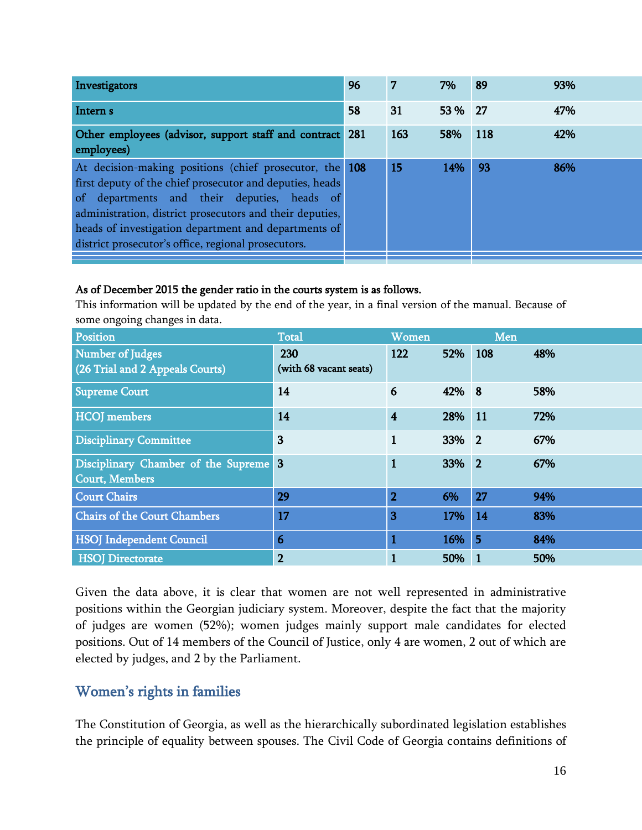| Investigators                                                                                                                                                                                                                                                                                                                                 | 96  | -7  | 7%      | 89  | 93% |
|-----------------------------------------------------------------------------------------------------------------------------------------------------------------------------------------------------------------------------------------------------------------------------------------------------------------------------------------------|-----|-----|---------|-----|-----|
| Intern <sub>s</sub>                                                                                                                                                                                                                                                                                                                           | 58  | 31  | 53 % 27 |     | 47% |
| Other employees (advisor, support staff and contract<br>employees)                                                                                                                                                                                                                                                                            | 281 | 163 | 58%     | 118 | 42% |
| At decision-making positions (chief prosecutor, the 108<br>first deputy of the chief prosecutor and deputies, heads<br>of departments and their deputies, heads of<br>administration, district prosecutors and their deputies,<br>heads of investigation department and departments of<br>district prosecutor's office, regional prosecutors. |     | 15  | 14%     | 93  | 86% |

#### As of December 2015 the gender ratio in the courts system is as follows.

This information will be updated by the end of the year, in a final version of the manual. Because of some ongoing changes in data.

| Position                                                       | <b>Total</b>                  | Women          |       | Men        |     |
|----------------------------------------------------------------|-------------------------------|----------------|-------|------------|-----|
| Number of Judges<br>(26 Trial and 2 Appeals Courts)            | 230<br>(with 68 vacant seats) | 122            | 52%   | 108        | 48% |
| <b>Supreme Court</b>                                           | 14                            | 6              | 42%   | 8          | 58% |
| <b>HCOJ</b> members                                            | 14                            | 4              | 28%   | <b>11</b>  | 72% |
| <b>Disciplinary Committee</b>                                  | $\overline{\mathbf{3}}$       |                | 33% 2 |            | 67% |
| Disciplinary Chamber of the Supreme 3<br><b>Court, Members</b> |                               | 1              | 33%   | $\sqrt{2}$ | 67% |
| <b>Court Chairs</b>                                            | 29                            | $\overline{2}$ | 6%    | 27         | 94% |
| <b>Chairs of the Court Chambers</b>                            | 17                            | 3              | 17%   | 14         | 83% |
| <b>HSOJ</b> Independent Council                                | 6                             |                | 16%   | 5          | 84% |
| <b>HSOJ</b> Directorate                                        | $\overline{2}$                |                | 50%   |            | 50% |

Given the data above, it is clear that women are not well represented in administrative positions within the Georgian judiciary system. Moreover, despite the fact that the majority of judges are women (52%); women judges mainly support male candidates for elected positions. Out of 14 members of the Council of Justice, only 4 are women, 2 out of which are elected by judges, and 2 by the Parliament.

#### <span id="page-16-0"></span>Women's rights in families

The Constitution of Georgia, as well as the hierarchically subordinated legislation establishes the principle of equality between spouses. The Civil Code of Georgia contains definitions of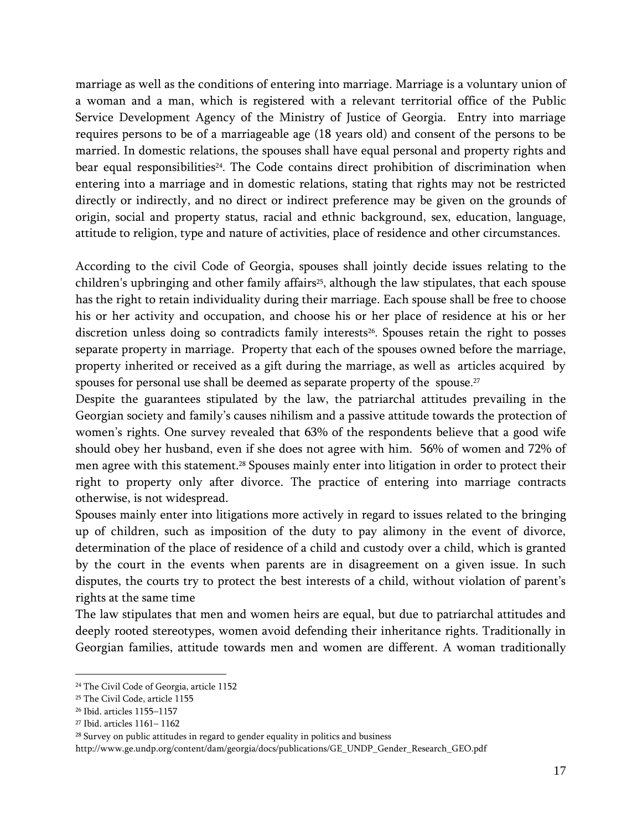marriage as well as the conditions of entering into marriage. Marriage is a voluntary union of a woman and a man, which is registered with a relevant territorial office of the Public Service Development Agency of the Ministry of Justice of Georgia. Entry into marriage requires persons to be of a marriageable age (18 years old) and consent of the persons to be married. In domestic relations, the spouses shall have equal personal and property rights and bear equal responsibilities<sup>24</sup>. The Code contains direct prohibition of discrimination when entering into a marriage and in domestic relations, stating that rights may not be restricted directly or indirectly, and no direct or indirect preference may be given on the grounds of origin, social and property status, racial and ethnic background, sex, education, language, attitude to religion, type and nature of activities, place of residence and other circumstances.

According to the civil Code of Georgia, spouses shall jointly decide issues relating to the children's upbringing and other family affairs<sup>25</sup>, although the law stipulates, that each spouse has the right to retain individuality during their marriage. Each spouse shall be free to choose his or her activity and occupation, and choose his or her place of residence at his or her discretion unless doing so contradicts family interests<sup>26</sup>. Spouses retain the right to posses separate property in marriage. Property that each of the spouses owned before the marriage, property inherited or received as a gift during the marriage, as well as articles acquired by spouses for personal use shall be deemed as separate property of the spouse. 27

Despite the guarantees stipulated by the law, the patriarchal attitudes prevailing in the Georgian society and family's causes nihilism and a passive attitude towards the protection of women's rights. One survey revealed that 63% of the respondents believe that a good wife should obey her husband, even if she does not agree with him. 56% of women and 72% of men agree with this statement. <sup>28</sup> Spouses mainly enter into litigation in order to protect their right to property only after divorce. The practice of entering into marriage contracts otherwise, is not widespread.

Spouses mainly enter into litigations more actively in regard to issues related to the bringing up of children, such as imposition of the duty to pay alimony in the event of divorce, determination of the place of residence of a child and custody over a child, which is granted by the court in the events when parents are in disagreement on a given issue. In such disputes, the courts try to protect the best interests of a child, without violation of parent's rights at the same time

The law stipulates that men and women heirs are equal, but due to patriarchal attitudes and deeply rooted stereotypes, women avoid defending their inheritance rights. Traditionally in Georgian families, attitude towards men and women are different. A woman traditionally

<sup>24</sup> The Civil Code of Georgia, article 1152

<sup>25</sup> The Civil Code, article 1155

<sup>26</sup> Ibid. articles 1155–1157

<sup>27</sup> Ibid. articles 1161– 1162

<sup>&</sup>lt;sup>28</sup> Survey on public attitudes in regard to gender equality in politics and business

http://www.ge.undp.org/content/dam/georgia/docs/publications/GE\_UNDP\_Gender\_Research\_GEO.pdf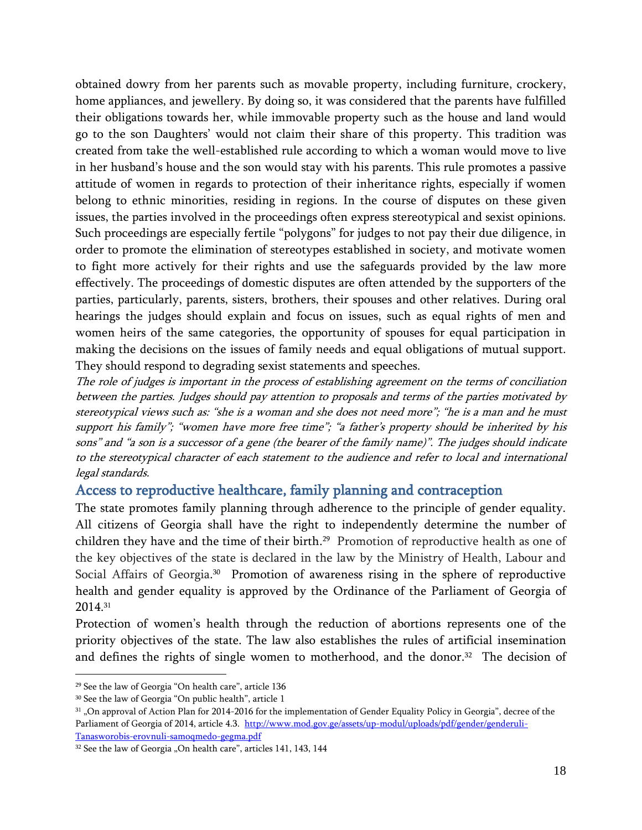obtained dowry from her parents such as movable property, including furniture, crockery, home appliances, and jewellery. By doing so, it was considered that the parents have fulfilled their obligations towards her, while immovable property such as the house and land would go to the son Daughters' would not claim their share of this property. This tradition was created from take the well-established rule according to which a woman would move to live in her husband's house and the son would stay with his parents. This rule promotes a passive attitude of women in regards to protection of their inheritance rights, especially if women belong to ethnic minorities, residing in regions. In the course of disputes on these given issues, the parties involved in the proceedings often express stereotypical and sexist opinions. Such proceedings are especially fertile "polygons" for judges to not pay their due diligence, in order to promote the elimination of stereotypes established in society, and motivate women to fight more actively for their rights and use the safeguards provided by the law more effectively. The proceedings of domestic disputes are often attended by the supporters of the parties, particularly, parents, sisters, brothers, their spouses and other relatives. During oral hearings the judges should explain and focus on issues, such as equal rights of men and women heirs of the same categories, the opportunity of spouses for equal participation in making the decisions on the issues of family needs and equal obligations of mutual support. They should respond to degrading sexist statements and speeches.

The role of judges is important in the process of establishing agreement on the terms of conciliation between the parties. Judges should pay attention to proposals and terms of the parties motivated by stereotypical views such as: "she is a woman and she does not need more"; "he is a man and he must support his family"; "women have more free time"; "a father's property should be inherited by his sons" and "<sup>a</sup> son is a successor of a gene (the bearer of the family name)". The judges should indicate to the stereotypical character of each statement to the audience and refer to local and international legal standards.

#### <span id="page-18-0"></span>Access to reproductive healthcare, family planning and contraception

The state promotes family planning through adherence to the principle of gender equality. All citizens of Georgia shall have the right to independently determine the number of children they have and the time of their birth. <sup>29</sup> Promotion of reproductive health as one of the key objectives of the state is declared in the law by the Ministry of Health, Labour and Social Affairs of Georgia.<sup>30</sup> Promotion of awareness rising in the sphere of reproductive health and gender equality is approved by the Ordinance of the Parliament of Georgia of 2014. 31

Protection of women's health through the reduction of abortions represents one of the priority objectives of the state. The law also establishes the rules of artificial insemination and defines the rights of single women to motherhood, and the donor. <sup>32</sup> The decision of

<sup>29</sup> See the law of Georgia "On health care", article 136

<sup>30</sup> See the law of Georgia "On public health", article 1

 $31$ , On approval of Action Plan for 2014-2016 for the implementation of Gender Equality Policy in Georgia", decree of the Parliament of Georgia of 2014, article 4.3. [http://www.mod.gov.ge/assets/up-modul/uploads/pdf/gender/genderuli-](http://www.mod.gov.ge/assets/up-modul/uploads/pdf/gender/genderuli-Tanasworobis-erovnuli-samoqmedo-gegma.pdf)[Tanasworobis-erovnuli-samoqmedo-gegma.pdf](http://www.mod.gov.ge/assets/up-modul/uploads/pdf/gender/genderuli-Tanasworobis-erovnuli-samoqmedo-gegma.pdf)

<sup>&</sup>lt;sup>32</sup> See the law of Georgia "On health care", articles 141, 143, 144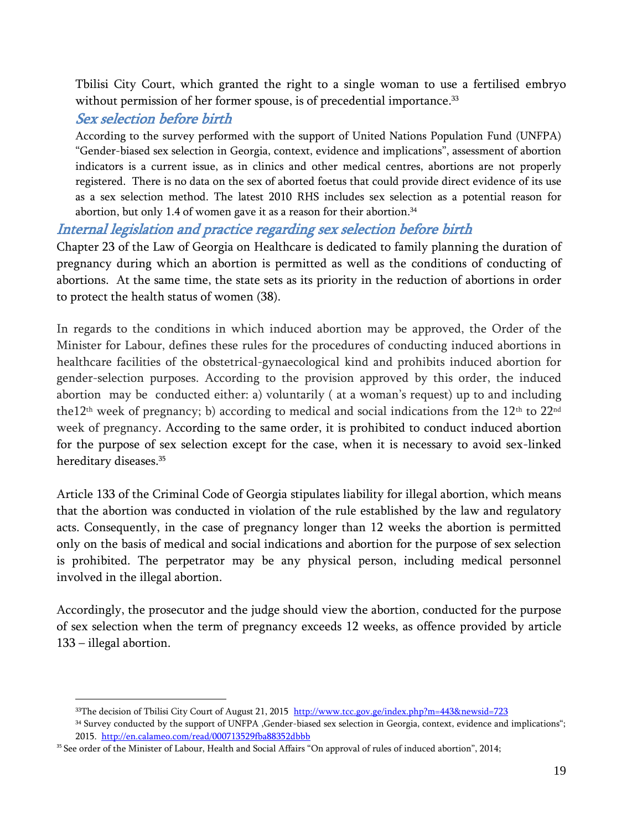Tbilisi City Court, which granted the right to a single woman to use a fertilised embryo without permission of her former spouse, is of precedential importance. 33

### <span id="page-19-0"></span>Sex selection before birth

<span id="page-19-1"></span>According to the survey performed with the support of United Nations Population Fund (UNFPA) "Gender-biased sex selection in Georgia, context, evidence and implications", assessment of abortion indicators is a current issue, as in clinics and other medical centres, abortions are not properly registered. There is no data on the sex of aborted foetus that could provide direct evidence of its use as a sex selection method. The latest 2010 RHS includes sex selection as a potential reason for abortion, but only 1.4 of women gave it as a reason for their abortion. 34

### Internal legislation and practice regarding sex selection before birth

Chapter 23 of the Law of Georgia on Healthcare is dedicated to family planning the duration of pregnancy during which an abortion is permitted as well as the conditions of conducting of abortions. At the same time, the state sets as its priority in the reduction of abortions in order to protect the health status of women (38).

In regards to the conditions in which induced abortion may be approved, the Order of the Minister for Labour, defines these rules for the procedures of conducting induced abortions in healthcare facilities of the obstetrical-gynaecological kind and prohibits induced abortion for gender-selection purposes. According to the provision approved by this order, the induced abortion may be conducted either: a) voluntarily ( at a woman's request) up to and including the12<sup>th</sup> week of pregnancy; b) according to medical and social indications from the 12<sup>th</sup> to 22<sup>nd</sup> week of pregnancy. According to the same order, it is prohibited to conduct induced abortion for the purpose of sex selection except for the case, when it is necessary to avoid sex-linked hereditary diseases. 35

Article 133 of the Criminal Code of Georgia stipulates liability for illegal abortion, which means that the abortion was conducted in violation of the rule established by the law and regulatory acts. Consequently, in the case of pregnancy longer than 12 weeks the abortion is permitted only on the basis of medical and social indications and abortion for the purpose of sex selection is prohibited. The perpetrator may be any physical person, including medical personnel involved in the illegal abortion.

Accordingly, the prosecutor and the judge should view the abortion, conducted for the purpose of sex selection when the term of pregnancy exceeds 12 weeks, as offence provided by article 133 – illegal abortion.

 $\overline{\phantom{a}}$ 33The decision of Tbilisi City Court of August 21, 2015 <http://www.tcc.gov.ge/index.php?m=443&newsid=723>

<sup>&</sup>lt;sup>34</sup> Survey conducted by the support of UNFPA ,Gender-biased sex selection in Georgia, context, evidence and implications"; 2015.<http://en.calameo.com/read/000713529fba88352dbbb>

<sup>&</sup>lt;sup>35</sup> See order of the Minister of Labour, Health and Social Affairs "On approval of rules of induced abortion", 2014;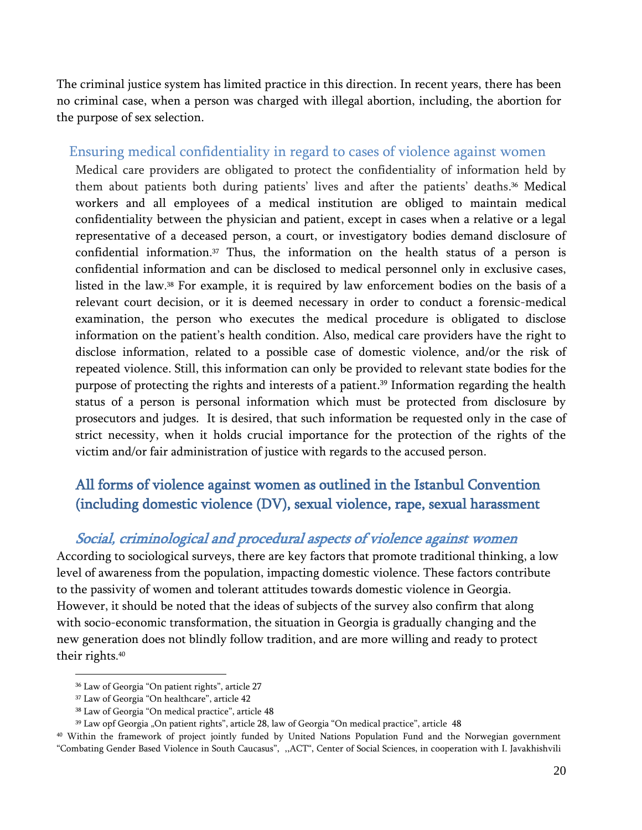The criminal justice system has limited practice in this direction. In recent years, there has been no criminal case, when a person was charged with illegal abortion, including, the abortion for the purpose of sex selection.

#### <span id="page-20-0"></span>Ensuring medical confidentiality in regard to cases of violence against women

Medical care providers are obligated to protect the confidentiality of information held by them about patients both during patients' lives and after the patients' deaths. <sup>36</sup> Medical workers and all employees of a medical institution are obliged to maintain medical confidentiality between the physician and patient, except in cases when a relative or a legal representative of a deceased person, a court, or investigatory bodies demand disclosure of confidential information. <sup>37</sup> Thus, the information on the health status of a person is confidential information and can be disclosed to medical personnel only in exclusive cases, listed in the law. <sup>38</sup> For example, it is required by law enforcement bodies on the basis of a relevant court decision, or it is deemed necessary in order to conduct a forensic-medical examination, the person who executes the medical procedure is obligated to disclose information on the patient's health condition. Also, medical care providers have the right to disclose information, related to a possible case of domestic violence, and/or the risk of repeated violence. Still, this information can only be provided to relevant state bodies for the purpose of protecting the rights and interests of a patient. <sup>39</sup> Information regarding the health status of a person is personal information which must be protected from disclosure by prosecutors and judges. It is desired, that such information be requested only in the case of strict necessity, when it holds crucial importance for the protection of the rights of the victim and/or fair administration of justice with regards to the accused person.

### <span id="page-20-1"></span>All forms of violence against women as outlined in the Istanbul Convention (including domestic violence (DV), sexual violence, rape, sexual harassment

#### <span id="page-20-2"></span>Social, criminological and procedural aspects of violence against women

According to sociological surveys, there are key factors that promote traditional thinking, a low level of awareness from the population, impacting domestic violence. These factors contribute to the passivity of women and tolerant attitudes towards domestic violence in Georgia. However, it should be noted that the ideas of subjects of the survey also confirm that along with socio-economic transformation, the situation in Georgia is gradually changing and the new generation does not blindly follow tradition, and are more willing and ready to protect their rights. 40

<sup>36</sup> Law of Georgia "On patient rights", article 27

<sup>37</sup> Law of Georgia "On healthcare", article 42

<sup>38</sup> Law of Georgia "On medical practice", article 48

<sup>&</sup>lt;sup>39</sup> Law opf Georgia "On patient rights", article 28, law of Georgia "On medical practice", article 48

<sup>40</sup> Within the framework of project jointly funded by United Nations Population Fund and the Norwegian government "Combating Gender Based Violence in South Caucasus", ,,ACT", Center of Social Sciences, in cooperation with I. Javakhishvili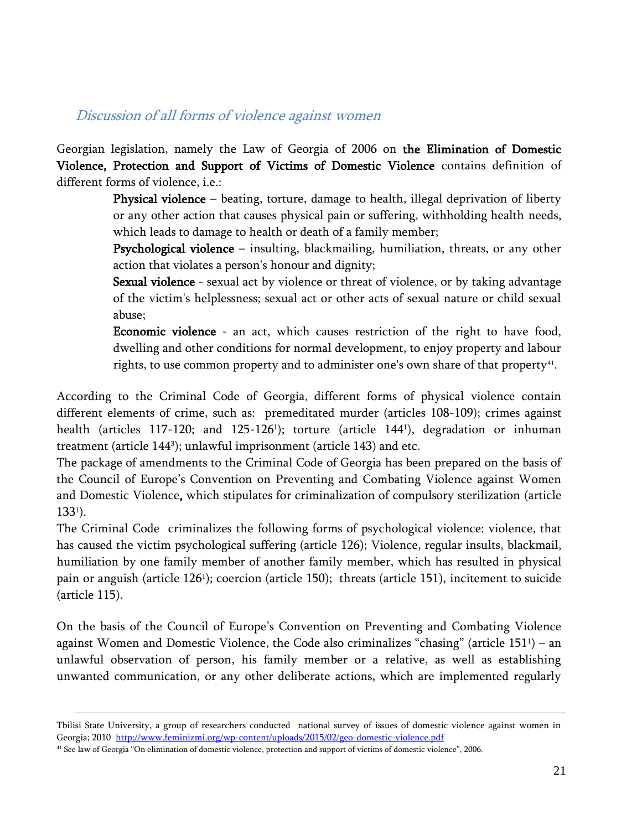#### <span id="page-21-0"></span>Discussion of all forms of violence against women

Georgian legislation, namely the Law of Georgia of 2006 on the Elimination of Domestic Violence, Protection and Support of Victims of Domestic Violence contains definition of different forms of violence, i.e.:

> Physical violence – beating, torture, damage to health, illegal deprivation of liberty or any other action that causes physical pain or suffering, withholding health needs, which leads to damage to health or death of a family member;

> Psychological violence – insulting, blackmailing, humiliation, threats, or any other action that violates a person's honour and dignity;

> **Sexual violence** - sexual act by violence or threat of violence, or by taking advantage of the victim's helplessness; sexual act or other acts of sexual nature or child sexual abuse;

> Economic violence - an act, which causes restriction of the right to have food, dwelling and other conditions for normal development, to enjoy property and labour rights, to use common property and to administer one's own share of that property $^{\rm 41}.$

According to the Criminal Code of Georgia, different forms of physical violence contain different elements of crime, such as: premeditated murder (articles 108-109); crimes against health (articles 117-120; and 125-126<sup>1</sup> ); torture (article 144<sup>1</sup> ), degradation or inhuman treatment (article 144<sup>3</sup> ); unlawful imprisonment (article 143) and etc.

The package of amendments to the Criminal Code of Georgia has been prepared on the basis of the Council of Europe's Convention on Preventing and Combating Violence against Women and Domestic Violence, which stipulates for criminalization of compulsory sterilization (article  $133<sup>1</sup>$ ).

The Criminal Code criminalizes the following forms of psychological violence: violence, that has caused the victim psychological suffering (article 126); Violence, regular insults, blackmail, humiliation by one family member of another family member, which has resulted in physical pain or anguish (article 126<sup>1</sup>); coercion (article 150); threats (article 151), incitement to suicide (article 115).

On the basis of the Council of Europe's Convention on Preventing and Combating Violence against Women and Domestic Violence, the Code also criminalizes "chasing" (article 151<sup>1</sup> ) – an unlawful observation of person, his family member or a relative, as well as establishing unwanted communication, or any other deliberate actions, which are implemented regularly

 $\overline{a}$ 

Tbilisi State University, a group of researchers conducted national survey of issues of domestic violence against women in Georgia; 2010<http://www.feminizmi.org/wp-content/uploads/2015/02/geo-domestic-violence.pdf>

<sup>41</sup> See law of Georgia "On elimination of domestic violence, protection and support of victims of domestic violence", 2006.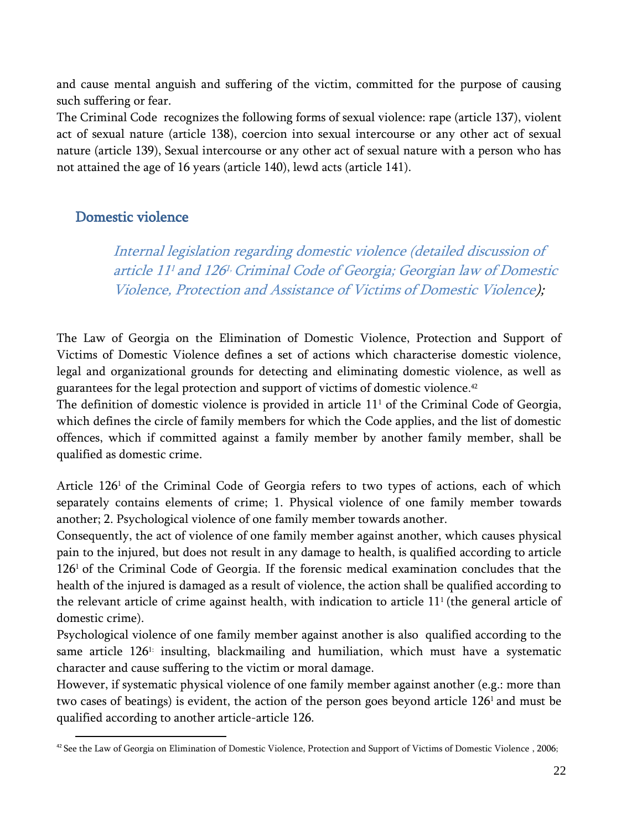and cause mental anguish and suffering of the victim, committed for the purpose of causing such suffering or fear.

The Criminal Code recognizes the following forms of sexual violence: rape (article 137), violent act of sexual nature (article 138), coercion into sexual intercourse or any other act of sexual nature (article 139), Sexual intercourse or any other act of sexual nature with a person who has not attained the age of 16 years (article 140), lewd acts (article 141).

### <span id="page-22-1"></span><span id="page-22-0"></span>Domestic violence

Internal legislation regarding domestic violence (detailed discussion of article 11<sup>1</sup> and 126<sup>1,</sup> Criminal Code of Georgia; Georgian law of Domestic Violence, Protection and Assistance of Victims of Domestic Violence);

The Law of Georgia on the Elimination of Domestic Violence, Protection and Support of Victims of Domestic Violence defines a set of actions which characterise domestic violence, legal and organizational grounds for detecting and eliminating domestic violence, as well as guarantees for the legal protection and support of victims of domestic violence. 42

The definition of domestic violence is provided in article 11<sup>1</sup> of the Criminal Code of Georgia, which defines the circle of family members for which the Code applies, and the list of domestic offences, which if committed against a family member by another family member, shall be qualified as domestic crime.

Article 126<sup>1</sup> of the Criminal Code of Georgia refers to two types of actions, each of which separately contains elements of crime; 1. Physical violence of one family member towards another; 2. Psychological violence of one family member towards another.

Consequently, the act of violence of one family member against another, which causes physical pain to the injured, but does not result in any damage to health, is qualified according to article 1261 of the Criminal Code of Georgia. If the forensic medical examination concludes that the health of the injured is damaged as a result of violence, the action shall be qualified according to the relevant article of crime against health, with indication to article  $11<sup>1</sup>$  (the general article of domestic crime).

Psychological violence of one family member against another is also qualified according to the same article 1261: insulting, blackmailing and humiliation, which must have a systematic character and cause suffering to the victim or moral damage.

However, if systematic physical violence of one family member against another (e.g.: more than two cases of beatings) is evident, the action of the person goes beyond article 126<sup>1</sup> and must be qualified according to another article-article 126.

 $\overline{\phantom{a}}$ <sup>42</sup> See the Law of Georgia on Elimination of Domestic Violence, Protection and Support of Victims of Domestic Violence, 2006;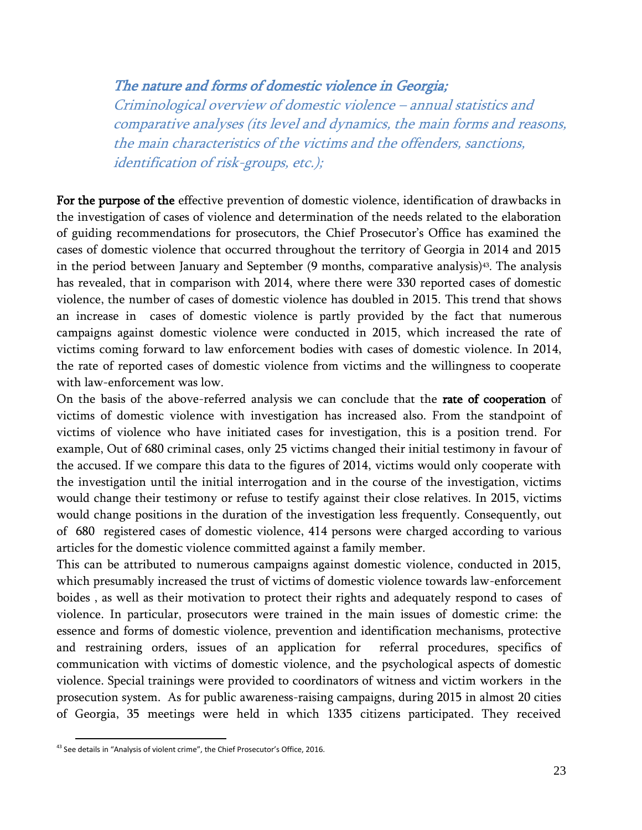#### <span id="page-23-0"></span>The nature and forms of domestic violence in Georgia;

Criminological overview of domestic violence – annual statistics and comparative analyses (its level and dynamics, the main forms and reasons, the main characteristics of the victims and the offenders, sanctions, identification of risk-groups, etc.);

For the purpose of the effective prevention of domestic violence, identification of drawbacks in the investigation of cases of violence and determination of the needs related to the elaboration of guiding recommendations for prosecutors, the Chief Prosecutor's Office has examined the cases of domestic violence that occurred throughout the territory of Georgia in 2014 and 2015 in the period between January and September (9 months, comparative analysis)43. The analysis has revealed, that in comparison with 2014, where there were 330 reported cases of domestic violence, the number of cases of domestic violence has doubled in 2015. This trend that shows an increase in cases of domestic violence is partly provided by the fact that numerous campaigns against domestic violence were conducted in 2015, which increased the rate of victims coming forward to law enforcement bodies with cases of domestic violence. In 2014, the rate of reported cases of domestic violence from victims and the willingness to cooperate with law-enforcement was low.

On the basis of the above-referred analysis we can conclude that the rate of cooperation of victims of domestic violence with investigation has increased also. From the standpoint of victims of violence who have initiated cases for investigation, this is a position trend. For example, Out of 680 criminal cases, only 25 victims changed their initial testimony in favour of the accused. If we compare this data to the figures of 2014, victims would only cooperate with the investigation until the initial interrogation and in the course of the investigation, victims would change their testimony or refuse to testify against their close relatives. In 2015, victims would change positions in the duration of the investigation less frequently. Consequently, out of 680 registered cases of domestic violence, 414 persons were charged according to various articles for the domestic violence committed against a family member.

This can be attributed to numerous campaigns against domestic violence, conducted in 2015, which presumably increased the trust of victims of domestic violence towards law-enforcement boides , as well as their motivation to protect their rights and adequately respond to cases of violence. In particular, prosecutors were trained in the main issues of domestic crime: the essence and forms of domestic violence, prevention and identification mechanisms, protective and restraining orders, issues of an application for referral procedures, specifics of communication with victims of domestic violence, and the psychological aspects of domestic violence. Special trainings were provided to coordinators of witness and victim workers in the prosecution system. As for public awareness-raising campaigns, during 2015 in almost 20 cities of Georgia, 35 meetings were held in which 1335 citizens participated. They received

l

<sup>&</sup>lt;sup>43</sup> See details in "Analysis of violent crime", the Chief Prosecutor's Office, 2016.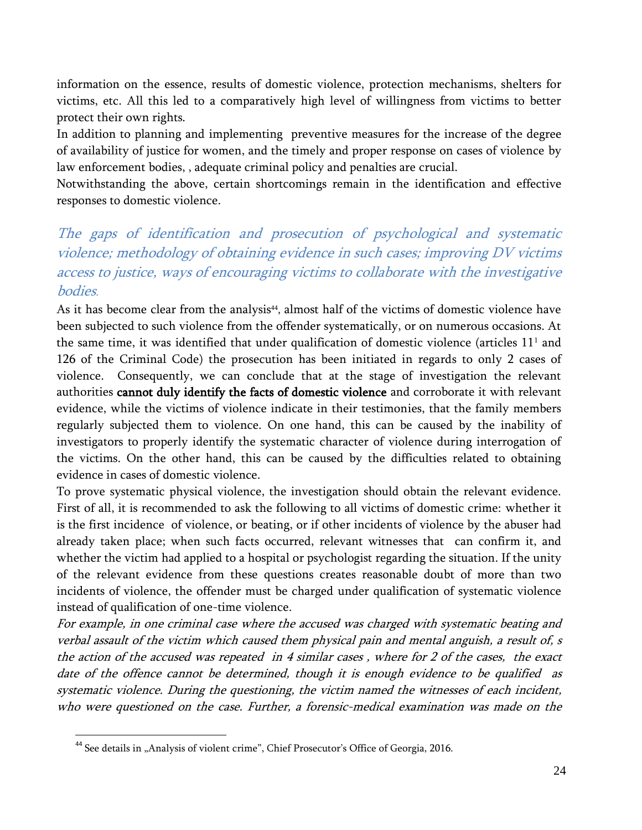information on the essence, results of domestic violence, protection mechanisms, shelters for victims, etc. All this led to a comparatively high level of willingness from victims to better protect their own rights.

In addition to planning and implementing preventive measures for the increase of the degree of availability of justice for women, and the timely and proper response on cases of violence by law enforcement bodies, , adequate criminal policy and penalties are crucial.

Notwithstanding the above, certain shortcomings remain in the identification and effective responses to domestic violence.

### <span id="page-24-0"></span>The gaps of identification and prosecution of psychological and systematic violence; methodology of obtaining evidence in such cases; improving DV victims access to justice, ways of encouraging victims to collaborate with the investigative bodies.

As it has become clear from the analysis<sup>44</sup>, almost half of the victims of domestic violence have been subjected to such violence from the offender systematically, or on numerous occasions. At the same time, it was identified that under qualification of domestic violence (articles  $11<sup>1</sup>$  and 126 of the Criminal Code) the prosecution has been initiated in regards to only 2 cases of violence. Consequently, we can conclude that at the stage of investigation the relevant authorities cannot duly identify the facts of domestic violence and corroborate it with relevant evidence, while the victims of violence indicate in their testimonies, that the family members regularly subjected them to violence. On one hand, this can be caused by the inability of investigators to properly identify the systematic character of violence during interrogation of the victims. On the other hand, this can be caused by the difficulties related to obtaining evidence in cases of domestic violence.

To prove systematic physical violence, the investigation should obtain the relevant evidence. First of all, it is recommended to ask the following to all victims of domestic crime: whether it is the first incidence of violence, or beating, or if other incidents of violence by the abuser had already taken place; when such facts occurred, relevant witnesses that can confirm it, and whether the victim had applied to a hospital or psychologist regarding the situation. If the unity of the relevant evidence from these questions creates reasonable doubt of more than two incidents of violence, the offender must be charged under qualification of systematic violence instead of qualification of one-time violence.

For example, in one criminal case where the accused was charged with systematic beating and verbal assault of the victim which caused them physical pain and mental anguish, a result of, s the action of the accused was repeated in 4 similar cases , where for 2 of the cases, the exact date of the offence cannot be determined, though it is enough evidence to be qualified as systematic violence. During the questioning, the victim named the witnesses of each incident, who were questioned on the case. Further, a forensic-medical examination was made on the

 $\overline{a}$ 

<sup>&</sup>lt;sup>44</sup> See details in "Analysis of violent crime", Chief Prosecutor's Office of Georgia, 2016.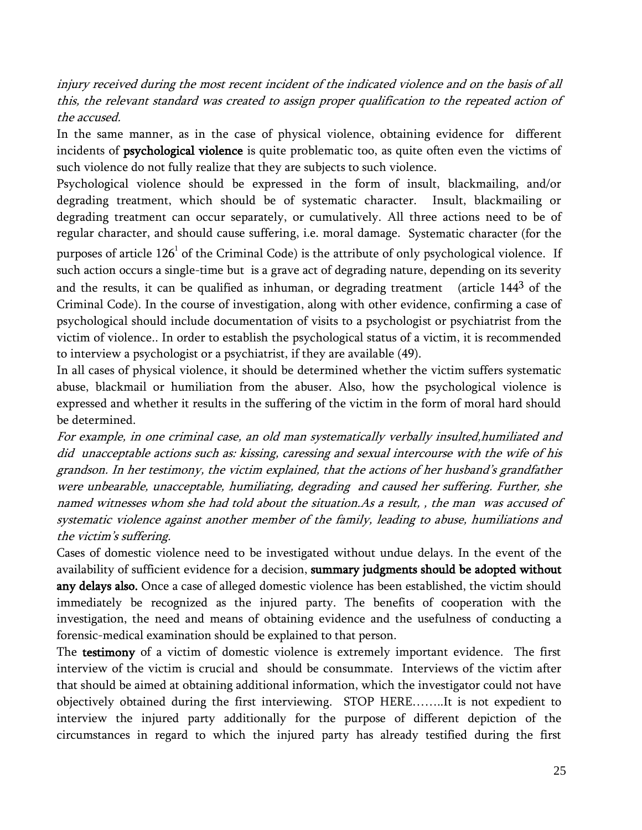injury received during the most recent incident of the indicated violence and on the basis of all this, the relevant standard was created to assign proper qualification to the repeated action of the accused.

In the same manner, as in the case of physical violence, obtaining evidence for different incidents of psychological violence is quite problematic too, as quite often even the victims of such violence do not fully realize that they are subjects to such violence.

Psychological violence should be expressed in the form of insult, blackmailing, and/or degrading treatment, which should be of systematic character. Insult, blackmailing or degrading treatment can occur separately, or cumulatively. All three actions need to be of regular character, and should cause suffering, i.e. moral damage. Systematic character (for the purposes of article  $126^{\rm ^1}$  of the Criminal Code) is the attribute of only psychological violence. If such action occurs a single-time but is a grave act of degrading nature, depending on its severity and the results, it can be qualified as inhuman, or degrading treatment (article 144<sup>3</sup> of the Criminal Code). In the course of investigation, along with other evidence, confirming a case of psychological should include documentation of visits to a psychologist or psychiatrist from the victim of violence.. In order to establish the psychological status of a victim, it is recommended to interview a psychologist or a psychiatrist, if they are available (49).

In all cases of physical violence, it should be determined whether the victim suffers systematic abuse, blackmail or humiliation from the abuser. Also, how the psychological violence is expressed and whether it results in the suffering of the victim in the form of moral hard should be determined.

For example, in one criminal case, an old man systematically verbally insulted,humiliated and did unacceptable actions such as: kissing, caressing and sexual intercourse with the wife of his grandson. In her testimony, the victim explained, that the actions of her husband's grandfather were unbearable, unacceptable, humiliating, degrading and caused her suffering. Further, she named witnesses whom she had told about the situation.As a result, , the man was accused of systematic violence against another member of the family, leading to abuse, humiliations and the victim's suffering.

Cases of domestic violence need to be investigated without undue delays. In the event of the availability of sufficient evidence for a decision, summary judgments should be adopted without any delays also. Once a case of alleged domestic violence has been established, the victim should immediately be recognized as the injured party. The benefits of cooperation with the investigation, the need and means of obtaining evidence and the usefulness of conducting a forensic-medical examination should be explained to that person.

The testimony of a victim of domestic violence is extremely important evidence. The first interview of the victim is crucial and should be consummate. Interviews of the victim after that should be aimed at obtaining additional information, which the investigator could not have objectively obtained during the first interviewing. STOP HERE……..It is not expedient to interview the injured party additionally for the purpose of different depiction of the circumstances in regard to which the injured party has already testified during the first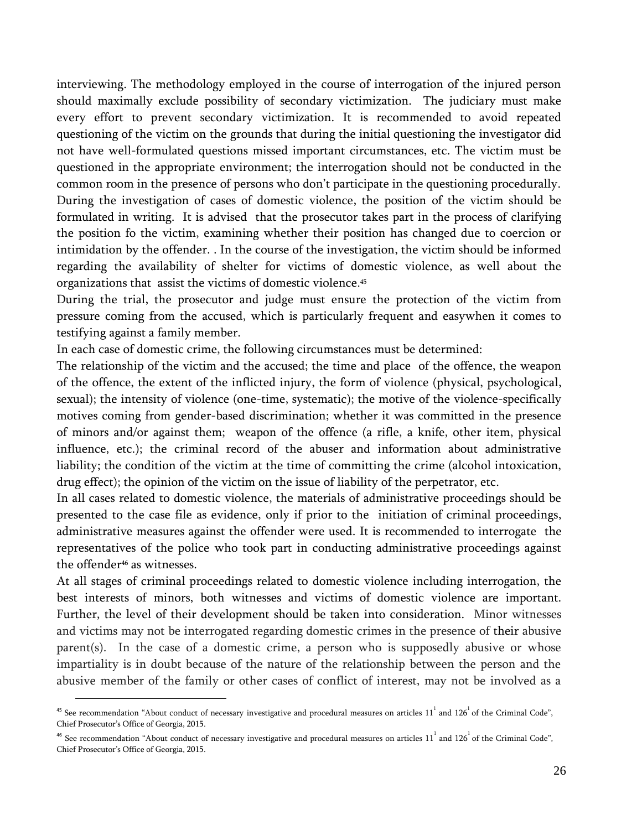interviewing. The methodology employed in the course of interrogation of the injured person should maximally exclude possibility of secondary victimization. The judiciary must make every effort to prevent secondary victimization. It is recommended to avoid repeated questioning of the victim on the grounds that during the initial questioning the investigator did not have well-formulated questions missed important circumstances, etc. The victim must be questioned in the appropriate environment; the interrogation should not be conducted in the common room in the presence of persons who don't participate in the questioning procedurally. During the investigation of cases of domestic violence, the position of the victim should be formulated in writing. It is advised that the prosecutor takes part in the process of clarifying the position fo the victim, examining whether their position has changed due to coercion or intimidation by the offender. . In the course of the investigation, the victim should be informed regarding the availability of shelter for victims of domestic violence, as well about the organizations that assist the victims of domestic violence. 45

During the trial, the prosecutor and judge must ensure the protection of the victim from pressure coming from the accused, which is particularly frequent and easywhen it comes to testifying against a family member.

In each case of domestic crime, the following circumstances must be determined:

The relationship of the victim and the accused; the time and place of the offence, the weapon of the offence, the extent of the inflicted injury, the form of violence (physical, psychological, sexual); the intensity of violence (one-time, systematic); the motive of the violence-specifically motives coming from gender-based discrimination; whether it was committed in the presence of minors and/or against them; weapon of the offence (a rifle, a knife, other item, physical influence, etc.); the criminal record of the abuser and information about administrative liability; the condition of the victim at the time of committing the crime (alcohol intoxication, drug effect); the opinion of the victim on the issue of liability of the perpetrator, etc.

In all cases related to domestic violence, the materials of administrative proceedings should be presented to the case file as evidence, only if prior to the initiation of criminal proceedings, administrative measures against the offender were used. It is recommended to interrogate the representatives of the police who took part in conducting administrative proceedings against the offender <sup>46</sup> as witnesses.

At all stages of criminal proceedings related to domestic violence including interrogation, the best interests of minors, both witnesses and victims of domestic violence are important. Further, the level of their development should be taken into consideration. Minor witnesses and victims may not be interrogated regarding domestic crimes in the presence of their abusive parent(s). In the case of a domestic crime, a person who is supposedly abusive or whose impartiality is in doubt because of the nature of the relationship between the person and the abusive member of the family or other cases of conflict of interest, may not be involved as a

<sup>&</sup>lt;sup>45</sup> See recommendation "About conduct of necessary investigative and procedural measures on articles  $11^1$  and  $126^1$  of the Criminal Code", Chief Prosecutor's Office of Georgia, 2015.

 $^{46}$  See recommendation "About conduct of necessary investigative and procedural measures on articles  $11^1$  and  $126^1$  of the Criminal Code", Chief Prosecutor's Office of Georgia, 2015.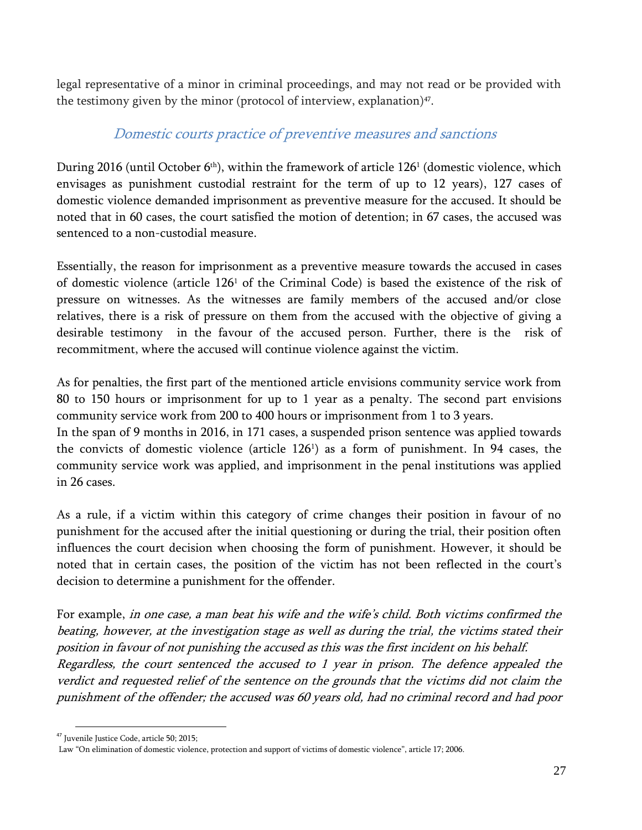legal representative of a minor in criminal proceedings, and may not read or be provided with the testimony given by the minor (protocol of interview, explanation) $47$ .

### Domestic courts practice of preventive measures and sanctions

<span id="page-27-0"></span>During 2016 (until October 6<sup>th</sup>), within the framework of article 126<sup>1</sup> (domestic violence, which envisages as punishment custodial restraint for the term of up to 12 years), 127 cases of domestic violence demanded imprisonment as preventive measure for the accused. It should be noted that in 60 cases, the court satisfied the motion of detention; in 67 cases, the accused was sentenced to a non-custodial measure.

Essentially, the reason for imprisonment as a preventive measure towards the accused in cases of domestic violence (article 126<sup>1</sup> of the Criminal Code) is based the existence of the risk of pressure on witnesses. As the witnesses are family members of the accused and/or close relatives, there is a risk of pressure on them from the accused with the objective of giving a desirable testimony in the favour of the accused person. Further, there is the risk of recommitment, where the accused will continue violence against the victim.

As for penalties, the first part of the mentioned article envisions community service work from 80 to 150 hours or imprisonment for up to 1 year as a penalty. The second part envisions community service work from 200 to 400 hours or imprisonment from 1 to 3 years.

In the span of 9 months in 2016, in 171 cases, a suspended prison sentence was applied towards the convicts of domestic violence (article 126<sup>1</sup> ) as a form of punishment. In 94 cases, the community service work was applied, and imprisonment in the penal institutions was applied in 26 cases.

As a rule, if a victim within this category of crime changes their position in favour of no punishment for the accused after the initial questioning or during the trial, their position often influences the court decision when choosing the form of punishment. However, it should be noted that in certain cases, the position of the victim has not been reflected in the court's decision to determine a punishment for the offender.

For example, in one case, a man beat his wife and the wife's child. Both victims confirmed the beating, however, at the investigation stage as well as during the trial, the victims stated their position in favour of not punishing the accused as this was the first incident on his behalf. Regardless, the court sentenced the accused to 1 year in prison. The defence appealed the verdict and requested relief of the sentence on the grounds that the victims did not claim the punishment of the offender; the accused was 60 years old, had no criminal record and had poor

l

<sup>&</sup>lt;sup>47</sup> Juvenile Justice Code, article 50; 2015;

Law "On elimination of domestic violence, protection and support of victims of domestic violence", article 17; 2006.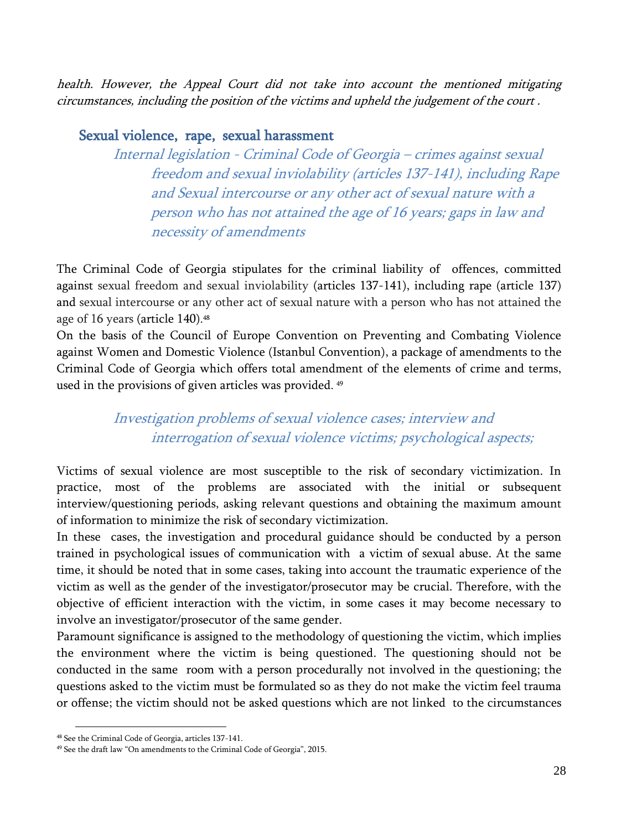health. However, the Appeal Court did not take into account the mentioned mitigating circumstances, including the position of the victims and upheld the judgement of the court .

#### <span id="page-28-1"></span><span id="page-28-0"></span>Sexual violence, rape, sexual harassment

Internal legislation - Criminal Code of Georgia – crimes against sexual freedom and sexual inviolability (articles 137-141), including Rape and Sexual intercourse or any other act of sexual nature with a person who has not attained the age of 16 years; gaps in law and necessity of amendments

The Criminal Code of Georgia stipulates for the criminal liability of offences, committed against sexual freedom and sexual inviolability (articles 137-141), including rape (article 137) and sexual intercourse or any other act of sexual nature with a person who has not attained the age of 16 years (article 140). 48

On the basis of the Council of Europe Convention on Preventing and Combating Violence against Women and Domestic Violence (Istanbul Convention), a package of amendments to the Criminal Code of Georgia which offers total amendment of the elements of crime and terms, used in the provisions of given articles was provided. 49

### <span id="page-28-2"></span>Investigation problems of sexual violence cases; interview and interrogation of sexual violence victims; psychological aspects;

Victims of sexual violence are most susceptible to the risk of secondary victimization. In practice, most of the problems are associated with the initial or subsequent interview/questioning periods, asking relevant questions and obtaining the maximum amount of information to minimize the risk of secondary victimization.

In these cases, the investigation and procedural guidance should be conducted by a person trained in psychological issues of communication with a victim of sexual abuse. At the same time, it should be noted that in some cases, taking into account the traumatic experience of the victim as well as the gender of the investigator/prosecutor may be crucial. Therefore, with the objective of efficient interaction with the victim, in some cases it may become necessary to involve an investigator/prosecutor of the same gender.

Paramount significance is assigned to the methodology of questioning the victim, which implies the environment where the victim is being questioned. The questioning should not be conducted in the same room with a person procedurally not involved in the questioning; the questions asked to the victim must be formulated so as they do not make the victim feel trauma or offense; the victim should not be asked questions which are not linked to the circumstances

l

<sup>48</sup> See the Criminal Code of Georgia, articles 137-141.

<sup>49</sup> See the draft law "On amendments to the Criminal Code of Georgia", 2015.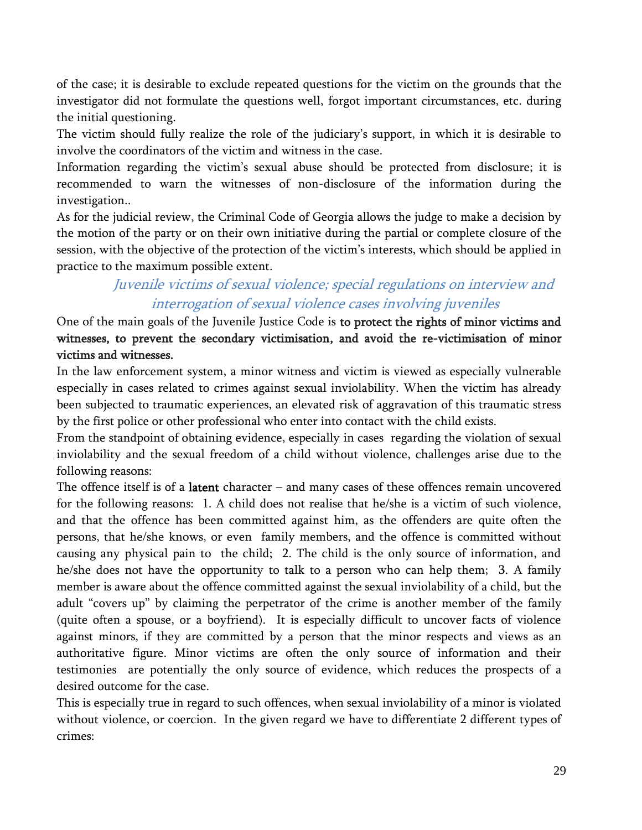of the case; it is desirable to exclude repeated questions for the victim on the grounds that the investigator did not formulate the questions well, forgot important circumstances, etc. during the initial questioning.

The victim should fully realize the role of the judiciary's support, in which it is desirable to involve the coordinators of the victim and witness in the case.

Information regarding the victim's sexual abuse should be protected from disclosure; it is recommended to warn the witnesses of non-disclosure of the information during the investigation..

As for the judicial review, the Criminal Code of Georgia allows the judge to make a decision by the motion of the party or on their own initiative during the partial or complete closure of the session, with the objective of the protection of the victim's interests, which should be applied in practice to the maximum possible extent.

### <span id="page-29-0"></span>Juvenile victims of sexual violence; special regulations on interview and interrogation of sexual violence cases involving juveniles

One of the main goals of the Juvenile Justice Code is to protect the rights of minor victims and witnesses, to prevent the secondary victimisation, and avoid the re-victimisation of minor victims and witnesses.

In the law enforcement system, a minor witness and victim is viewed as especially vulnerable especially in cases related to crimes against sexual inviolability. When the victim has already been subjected to traumatic experiences, an elevated risk of aggravation of this traumatic stress by the first police or other professional who enter into contact with the child exists.

From the standpoint of obtaining evidence, especially in cases regarding the violation of sexual inviolability and the sexual freedom of a child without violence, challenges arise due to the following reasons:

The offence itself is of a **latent** character  $-$  and many cases of these offences remain uncovered for the following reasons: 1. A child does not realise that he/she is a victim of such violence, and that the offence has been committed against him, as the offenders are quite often the persons, that he/she knows, or even family members, and the offence is committed without causing any physical pain to the child; 2. The child is the only source of information, and he/she does not have the opportunity to talk to a person who can help them; 3. A family member is aware about the offence committed against the sexual inviolability of a child, but the adult "covers up" by claiming the perpetrator of the crime is another member of the family (quite often a spouse, or a boyfriend). It is especially difficult to uncover facts of violence against minors, if they are committed by a person that the minor respects and views as an authoritative figure. Minor victims are often the only source of information and their testimonies are potentially the only source of evidence, which reduces the prospects of a desired outcome for the case.

This is especially true in regard to such offences, when sexual inviolability of a minor is violated without violence, or coercion. In the given regard we have to differentiate 2 different types of crimes: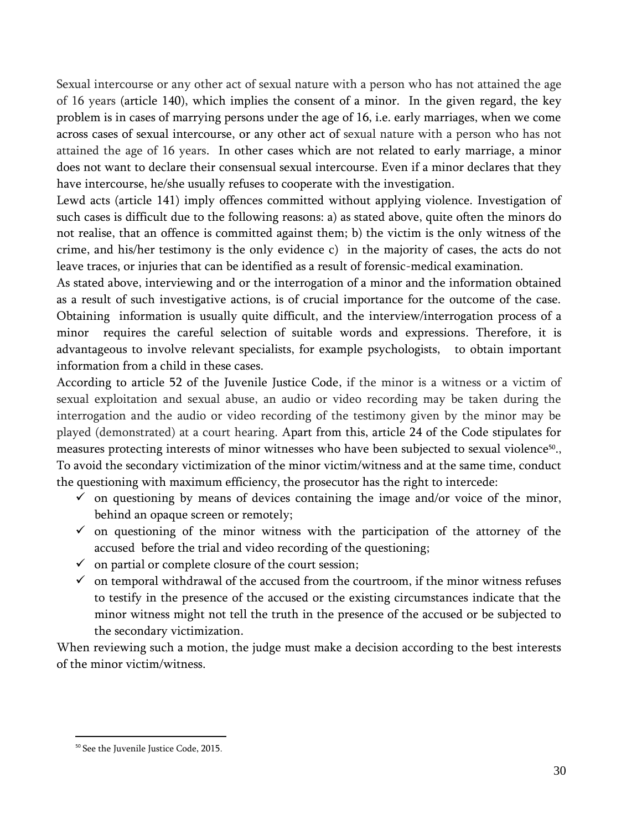Sexual intercourse or any other act of sexual nature with a person who has not attained the age of 16 years (article 140), which implies the consent of a minor. In the given regard, the key problem is in cases of marrying persons under the age of 16, i.e. early marriages, when we come across cases of sexual intercourse, or any other act of sexual nature with a person who has not attained the age of 16 years. In other cases which are not related to early marriage, a minor does not want to declare their consensual sexual intercourse. Even if a minor declares that they have intercourse, he/she usually refuses to cooperate with the investigation.

Lewd acts (article 141) imply offences committed without applying violence. Investigation of such cases is difficult due to the following reasons: a) as stated above, quite often the minors do not realise, that an offence is committed against them; b) the victim is the only witness of the crime, and his/her testimony is the only evidence c) in the majority of cases, the acts do not leave traces, or injuries that can be identified as a result of forensic-medical examination.

As stated above, interviewing and or the interrogation of a minor and the information obtained as a result of such investigative actions, is of crucial importance for the outcome of the case. Obtaining information is usually quite difficult, and the interview/interrogation process of a minor requires the careful selection of suitable words and expressions. Therefore, it is advantageous to involve relevant specialists, for example psychologists, to obtain important information from a child in these cases.

According to article 52 of the Juvenile Justice Code, if the minor is a witness or a victim of sexual exploitation and sexual abuse, an audio or video recording may be taken during the interrogation and the audio or video recording of the testimony given by the minor may be played (demonstrated) at a court hearing. Apart from this, article 24 of the Code stipulates for measures protecting interests of minor witnesses who have been subjected to sexual violence<sup>50</sup>., To avoid the secondary victimization of the minor victim/witness and at the same time, conduct the questioning with maximum efficiency, the prosecutor has the right to intercede:

- $\checkmark$  on questioning by means of devices containing the image and/or voice of the minor, behind an opaque screen or remotely;
- $\checkmark$  on questioning of the minor witness with the participation of the attorney of the accused before the trial and video recording of the questioning;
- $\checkmark$  on partial or complete closure of the court session;
- $\checkmark$  on temporal withdrawal of the accused from the courtroom, if the minor witness refuses to testify in the presence of the accused or the existing circumstances indicate that the minor witness might not tell the truth in the presence of the accused or be subjected to the secondary victimization.

When reviewing such a motion, the judge must make a decision according to the best interests of the minor victim/witness.

<sup>&</sup>lt;sup>50</sup> See the Juvenile Justice Code, 2015.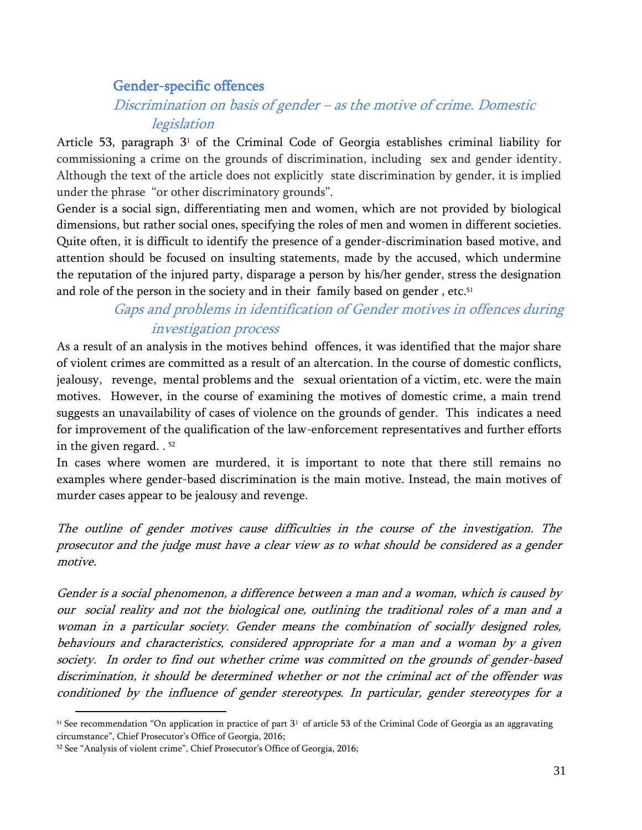### <span id="page-31-0"></span>Gender-specific offences

### <span id="page-31-1"></span>Discrimination on basis of gender – as the motive of crime. Domestic legislation

Article 53, paragraph  $3<sup>1</sup>$  of the Criminal Code of Georgia establishes criminal liability for commissioning a crime on the grounds of discrimination, including sex and gender identity. Although the text of the article does not explicitly state discrimination by gender, it is implied under the phrase "or other discriminatory grounds".

Gender is a social sign, differentiating men and women, which are not provided by biological dimensions, but rather social ones, specifying the roles of men and women in different societies. Quite often, it is difficult to identify the presence of a gender-discrimination based motive, and attention should be focused on insulting statements, made by the accused, which undermine the reputation of the injured party, disparage a person by his/her gender, stress the designation and role of the person in the society and in their family based on gender , etc. 51

### <span id="page-31-2"></span>Gaps and problems in identification of Gender motives in offences during investigation process

As a result of an analysis in the motives behind offences, it was identified that the major share of violent crimes are committed as a result of an altercation. In the course of domestic conflicts, jealousy, revenge, mental problems and the sexual orientation of a victim, etc. were the main motives. However, in the course of examining the motives of domestic crime, a main trend suggests an unavailability of cases of violence on the grounds of gender. This indicates a need for improvement of the qualification of the law-enforcement representatives and further efforts in the given regard. . 52

In cases where women are murdered, it is important to note that there still remains no examples where gender-based discrimination is the main motive. Instead, the main motives of murder cases appear to be jealousy and revenge.

The outline of gender motives cause difficulties in the course of the investigation. The prosecutor and the judge must have a clear view as to what should be considered as a gender motive.

Gender is a social phenomenon, a difference between a man and a woman, which is caused by our social reality and not the biological one, outlining the traditional roles of a man and a woman in a particular society. Gender means the combination of socially designed roles, behaviours and characteristics, considered appropriate for a man and a woman by a given society. In order to find out whether crime was committed on the grounds of gender-based discrimination, it should be determined whether or not the criminal act of the offender was conditioned by the influence of gender stereotypes. In particular, gender stereotypes for a

 $51$  See recommendation "On application in practice of part  $3<sup>1</sup>$  of article 53 of the Criminal Code of Georgia as an aggravating circumstance", Chief Prosecutor's Office of Georgia, 2016;

<sup>52</sup> See "Analysis of violent crime", Chief Prosecutor's Office of Georgia, 2016;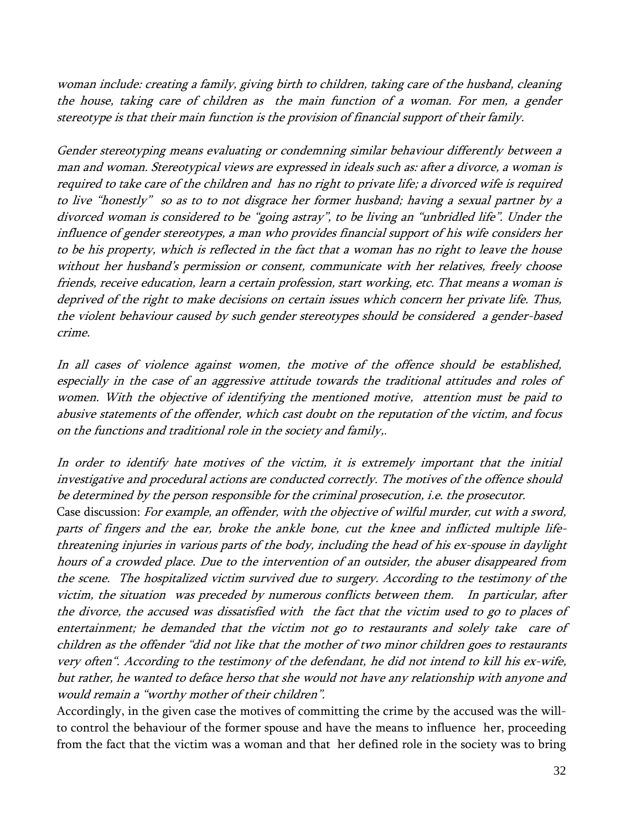woman include: creating a family, giving birth to children, taking care of the husband, cleaning the house, taking care of children as the main function of a woman. For men, a gender stereotype is that their main function is the provision of financial support of their family.

Gender stereotyping means evaluating or condemning similar behaviour differently between a man and woman. Stereotypical views are expressed in ideals such as: after a divorce, a woman is required to take care of the children and has no right to private life; a divorced wife is required to live "honestly" so as to to not disgrace her former husband; having a sexual partner by a divorced woman is considered to be "going astray", to be living an "unbridled life". Under the influence of gender stereotypes, a man who provides financial support of his wife considers her to be his property, which is reflected in the fact that a woman has no right to leave the house without her husband's permission or consent, communicate with her relatives, freely choose friends, receive education, learn a certain profession, start working, etc. That means a woman is deprived of the right to make decisions on certain issues which concern her private life. Thus, the violent behaviour caused by such gender stereotypes should be considered a gender-based crime.

In all cases of violence against women, the motive of the offence should be established, especially in the case of an aggressive attitude towards the traditional attitudes and roles of women. With the objective of identifying the mentioned motive, attention must be paid to abusive statements of the offender, which cast doubt on the reputation of the victim, and focus on the functions and traditional role in the society and family,.

In order to identify hate motives of the victim, it is extremely important that the initial investigative and procedural actions are conducted correctly. The motives of the offence should be determined by the person responsible for the criminal prosecution, i.e. the prosecutor.

Case discussion: For example, an offender, with the objective of wilful murder, cut with a sword, parts of fingers and the ear, broke the ankle bone, cut the knee and inflicted multiple lifethreatening injuries in various parts of the body, including the head of his ex-spouse in daylight hours of a crowded place. Due to the intervention of an outsider, the abuser disappeared from the scene. The hospitalized victim survived due to surgery. According to the testimony of the victim, the situation was preceded by numerous conflicts between them. In particular, after the divorce, the accused was dissatisfied with the fact that the victim used to go to places of entertainment; he demanded that the victim not go to restaurants and solely take care of children as the offender "did not like that the mother of two minor children goes to restaurants very often". According to the testimony of the defendant, he did not intend to kill his ex-wife, but rather, he wanted to deface herso that she would not have any relationship with anyone and would remain a "worthy mother of their children".

Accordingly, in the given case the motives of committing the crime by the accused was the willto control the behaviour of the former spouse and have the means to influence her, proceeding from the fact that the victim was a woman and that her defined role in the society was to bring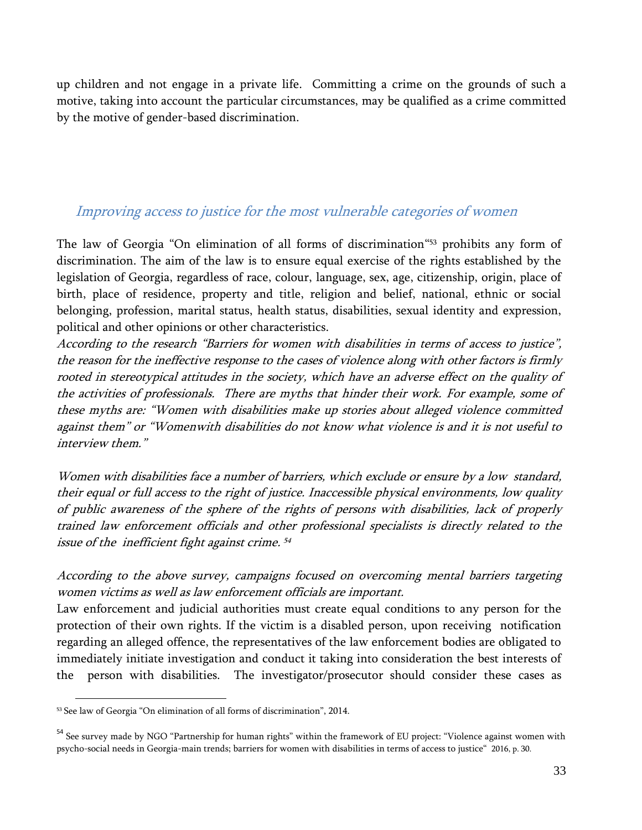up children and not engage in a private life. Committing a crime on the grounds of such a motive, taking into account the particular circumstances, may be qualified as a crime committed by the motive of gender-based discrimination.

#### <span id="page-33-0"></span>Improving access to justice for the most vulnerable categories of women

The law of Georgia "On elimination of all forms of discrimination" <sup>53</sup> prohibits any form of discrimination. The aim of the law is to ensure equal exercise of the rights established by the legislation of Georgia, regardless of race, colour, language, sex, age, citizenship, origin, place of birth, place of residence, property and title, religion and belief, national, ethnic or social belonging, profession, marital status, health status, disabilities, sexual identity and expression, political and other opinions or other characteristics.

According to the research "Barriers for women with disabilities in terms of access to justice", the reason for the ineffective response to the cases of violence along with other factors is firmly rooted in stereotypical attitudes in the society, which have an adverse effect on the quality of the activities of professionals. There are myths that hinder their work. For example, some of these myths are: "Women with disabilities make up stories about alleged violence committed against them" or "Womenwith disabilities do not know what violence is and it is not useful to interview them."

Women with disabilities face a number of barriers, which exclude or ensure by a low standard, their equal or full access to the right of justice. Inaccessible physical environments, low quality of public awareness of the sphere of the rights of persons with disabilities, lack of properly trained law enforcement officials and other professional specialists is directly related to the issue of the inefficient fight against crime. 54

According to the above survey, campaigns focused on overcoming mental barriers targeting women victims as well as law enforcement officials are important.

Law enforcement and judicial authorities must create equal conditions to any person for the protection of their own rights. If the victim is a disabled person, upon receiving notification regarding an alleged offence, the representatives of the law enforcement bodies are obligated to immediately initiate investigation and conduct it taking into consideration the best interests of the person with disabilities. The investigator/prosecutor should consider these cases as

<sup>53</sup> See law of Georgia "On elimination of all forms of discrimination", 2014.

<sup>&</sup>lt;sup>54</sup> See survey made by NGO "Partnership for human rights" within the framework of EU project: "Violence against women with psycho-social needs in Georgia-main trends; barriers for women with disabilities in terms of access to justice" 2016, p. 30.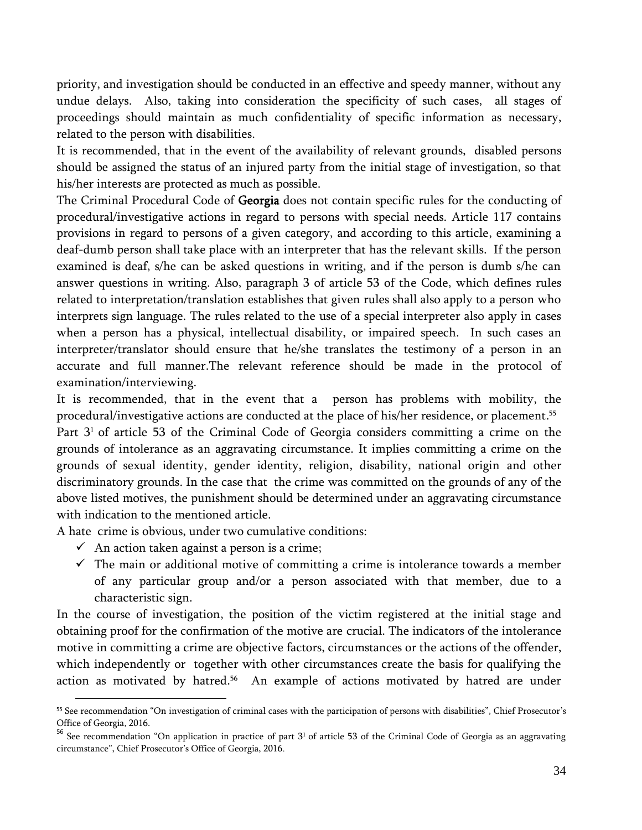priority, and investigation should be conducted in an effective and speedy manner, without any undue delays. Also, taking into consideration the specificity of such cases, all stages of proceedings should maintain as much confidentiality of specific information as necessary, related to the person with disabilities.

It is recommended, that in the event of the availability of relevant grounds, disabled persons should be assigned the status of an injured party from the initial stage of investigation, so that his/her interests are protected as much as possible.

The Criminal Procedural Code of Georgia does not contain specific rules for the conducting of procedural/investigative actions in regard to persons with special needs. Article 117 contains provisions in regard to persons of a given category, and according to this article, examining a deaf-dumb person shall take place with an interpreter that has the relevant skills. If the person examined is deaf, s/he can be asked questions in writing, and if the person is dumb s/he can answer questions in writing. Also, paragraph 3 of article 53 of the Code, which defines rules related to interpretation/translation establishes that given rules shall also apply to a person who interprets sign language. The rules related to the use of a special interpreter also apply in cases when a person has a physical, intellectual disability, or impaired speech. In such cases an interpreter/translator should ensure that he/she translates the testimony of a person in an accurate and full manner.The relevant reference should be made in the protocol of examination/interviewing.

It is recommended, that in the event that a person has problems with mobility, the procedural/investigative actions are conducted at the place of his/her residence, or placement. 55 Part 3<sup>1</sup> of article 53 of the Criminal Code of Georgia considers committing a crime on the grounds of intolerance as an aggravating circumstance. It implies committing a crime on the grounds of sexual identity, gender identity, religion, disability, national origin and other discriminatory grounds. In the case that the crime was committed on the grounds of any of the above listed motives, the punishment should be determined under an aggravating circumstance with indication to the mentioned article.

A hate crime is obvious, under two cumulative conditions:

 $\checkmark$  An action taken against a person is a crime;

 $\overline{\phantom{a}}$ 

 $\checkmark$  The main or additional motive of committing a crime is intolerance towards a member of any particular group and/or a person associated with that member, due to a characteristic sign.

In the course of investigation, the position of the victim registered at the initial stage and obtaining proof for the confirmation of the motive are crucial. The indicators of the intolerance motive in committing a crime are objective factors, circumstances or the actions of the offender, which independently or together with other circumstances create the basis for qualifying the action as motivated by hatred. <sup>56</sup> An example of actions motivated by hatred are under

<sup>55</sup> See recommendation "On investigation of criminal cases with the participation of persons with disabilities", Chief Prosecutor's Office of Georgia, 2016.

<sup>&</sup>lt;sup>56</sup> See recommendation "On application in practice of part 3<sup>1</sup> of article 53 of the Criminal Code of Georgia as an aggravating circumstance", Chief Prosecutor's Office of Georgia, 2016.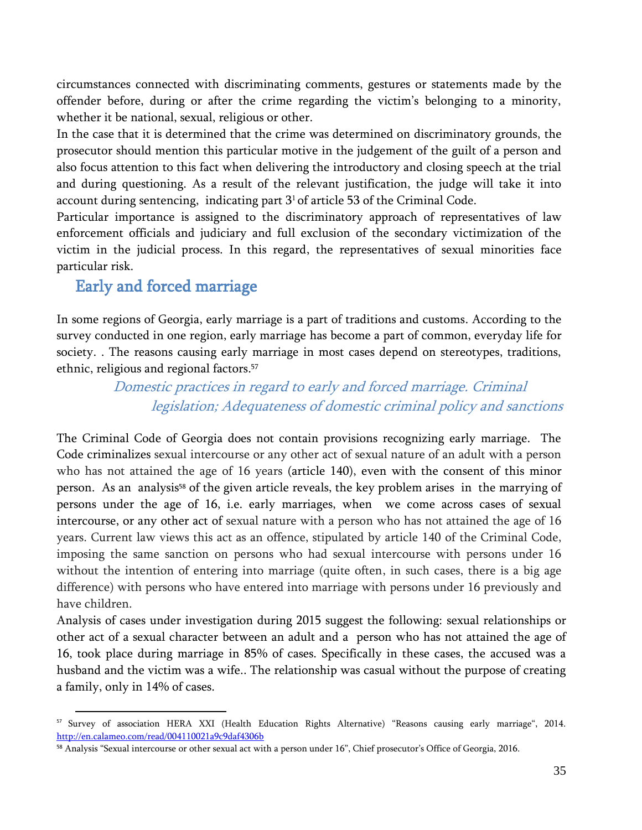circumstances connected with discriminating comments, gestures or statements made by the offender before, during or after the crime regarding the victim's belonging to a minority, whether it be national, sexual, religious or other.

In the case that it is determined that the crime was determined on discriminatory grounds, the prosecutor should mention this particular motive in the judgement of the guilt of a person and also focus attention to this fact when delivering the introductory and closing speech at the trial and during questioning. As a result of the relevant justification, the judge will take it into account during sentencing, indicating part  $3<sup>1</sup>$  of article 53 of the Criminal Code.

Particular importance is assigned to the discriminatory approach of representatives of law enforcement officials and judiciary and full exclusion of the secondary victimization of the victim in the judicial process. In this regard, the representatives of sexual minorities face particular risk.

### <span id="page-35-0"></span>Early and forced marriage

 $\overline{\phantom{a}}$ 

In some regions of Georgia, early marriage is a part of traditions and customs. According to the survey conducted in one region, early marriage has become a part of common, everyday life for society. . The reasons causing early marriage in most cases depend on stereotypes, traditions, ethnic, religious and regional factors. 57

### <span id="page-35-1"></span>Domestic practices in regard to early and forced marriage. Criminal legislation; Adequateness of domestic criminal policy and sanctions

The Criminal Code of Georgia does not contain provisions recognizing early marriage. The Code criminalizes sexual intercourse or any other act of sexual nature of an adult with a person who has not attained the age of 16 years (article 140), even with the consent of this minor person. As an analysis<sup>58</sup> of the given article reveals, the key problem arises in the marrying of persons under the age of 16, i.e. early marriages, when we come across cases of sexual intercourse, or any other act of sexual nature with a person who has not attained the age of 16 years. Current law views this act as an offence, stipulated by article 140 of the Criminal Code, imposing the same sanction on persons who had sexual intercourse with persons under 16 without the intention of entering into marriage (quite often, in such cases, there is a big age difference) with persons who have entered into marriage with persons under 16 previously and have children.

Analysis of cases under investigation during 2015 suggest the following: sexual relationships or other act of a sexual character between an adult and a person who has not attained the age of 16, took place during marriage in 85% of cases. Specifically in these cases, the accused was a husband and the victim was a wife.. The relationship was casual without the purpose of creating a family, only in 14% of cases.

<sup>57</sup> Survey of association HERA XXI (Health Education Rights Alternative) "Reasons causing early marriage", 2014. <http://en.calameo.com/read/004110021a9c9daf4306b>

<sup>58</sup> Analysis "Sexual intercourse or other sexual act with a person under 16", Chief prosecutor's Office of Georgia, 2016.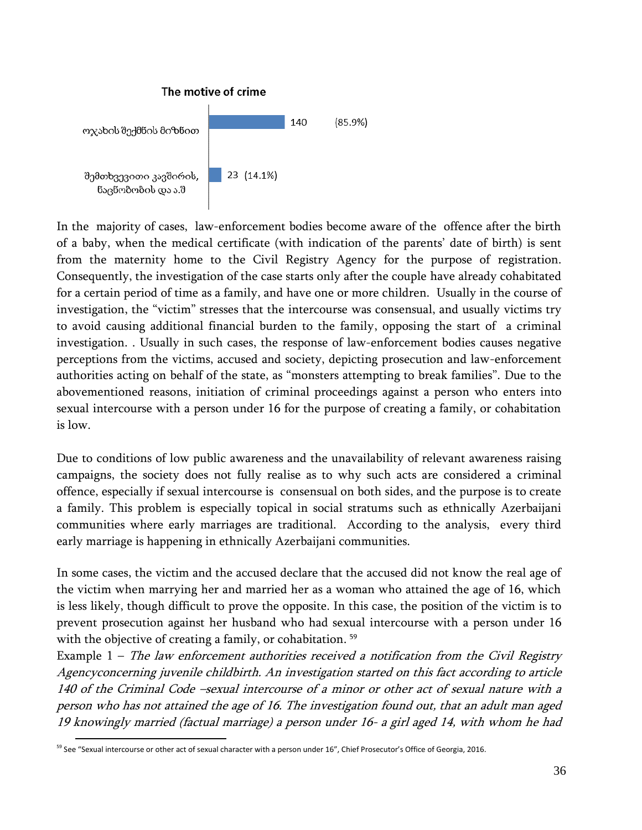

In the majority of cases, law-enforcement bodies become aware of the offence after the birth of a baby, when the medical certificate (with indication of the parents' date of birth) is sent from the maternity home to the Civil Registry Agency for the purpose of registration. Consequently, the investigation of the case starts only after the couple have already cohabitated for a certain period of time as a family, and have one or more children. Usually in the course of investigation, the "victim" stresses that the intercourse was consensual, and usually victims try to avoid causing additional financial burden to the family, opposing the start of a criminal investigation. . Usually in such cases, the response of law-enforcement bodies causes negative perceptions from the victims, accused and society, depicting prosecution and law-enforcement authorities acting on behalf of the state, as "monsters attempting to break families". Due to the abovementioned reasons, initiation of criminal proceedings against a person who enters into sexual intercourse with a person under 16 for the purpose of creating a family, or cohabitation is low.

Due to conditions of low public awareness and the unavailability of relevant awareness raising campaigns, the society does not fully realise as to why such acts are considered a criminal offence, especially if sexual intercourse is consensual on both sides, and the purpose is to create a family. This problem is especially topical in social stratums such as ethnically Azerbaijani communities where early marriages are traditional. According to the analysis, every third early marriage is happening in ethnically Azerbaijani communities.

In some cases, the victim and the accused declare that the accused did not know the real age of the victim when marrying her and married her as a woman who attained the age of 16, which is less likely, though difficult to prove the opposite. In this case, the position of the victim is to prevent prosecution against her husband who had sexual intercourse with a person under 16 with the objective of creating a family, or cohabitation. 59

Example  $1$  – The law enforcement authorities received a notification from the Civil Registry Agencyconcerning juvenile childbirth. An investigation started on this fact according to article 140 of the Criminal Code –sexual intercourse of a minor or other act of sexual nature with a person who has not attained the age of 16. The investigation found out, that an adult man aged 19 knowingly married (factual marriage) a person under 16- a girl aged 14, with whom he had

l <sup>59</sup> See "Sexual intercourse or other act of sexual character with a person under 16", Chief Prosecutor's Office of Georgia, 2016.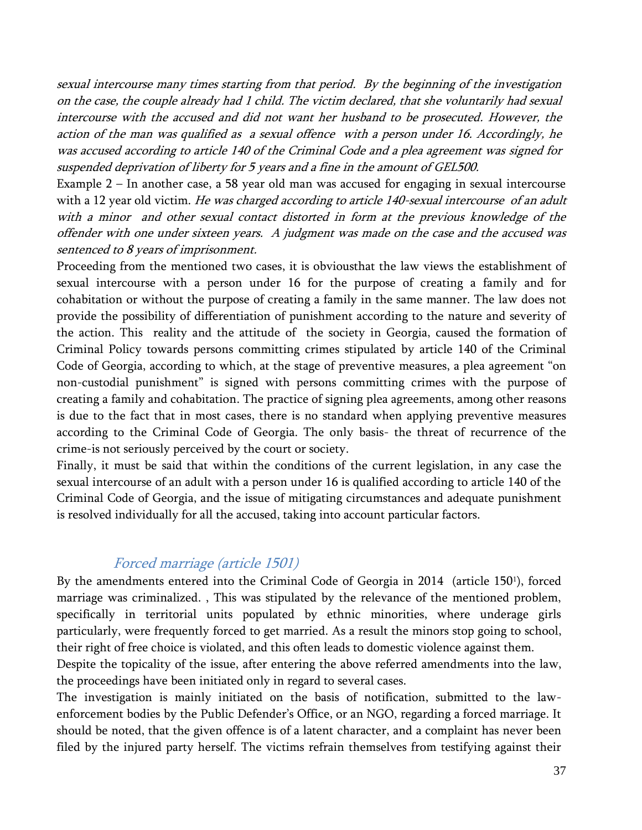sexual intercourse many times starting from that period. By the beginning of the investigation on the case, the couple already had 1 child. The victim declared, that she voluntarily had sexual intercourse with the accused and did not want her husband to be prosecuted. However, the action of the man was qualified as a sexual offence with a person under 16. Accordingly, he was accused according to article 140 of the Criminal Code and a plea agreement was signed for suspended deprivation of liberty for 5 years and a fine in the amount of GEL500.

Example 2 – In another case, a 58 year old man was accused for engaging in sexual intercourse with a 12 year old victim. He was charged according to article 140-sexual intercourse of an adult with a minor and other sexual contact distorted in form at the previous knowledge of the offender with one under sixteen years. A judgment was made on the case and the accused was sentenced to 8 years of imprisonment.

Proceeding from the mentioned two cases, it is obviousthat the law views the establishment of sexual intercourse with a person under 16 for the purpose of creating a family and for cohabitation or without the purpose of creating a family in the same manner. The law does not provide the possibility of differentiation of punishment according to the nature and severity of the action. This reality and the attitude of the society in Georgia, caused the formation of Criminal Policy towards persons committing crimes stipulated by article 140 of the Criminal Code of Georgia, according to which, at the stage of preventive measures, a plea agreement "on non-custodial punishment" is signed with persons committing crimes with the purpose of creating a family and cohabitation. The practice of signing plea agreements, among other reasons is due to the fact that in most cases, there is no standard when applying preventive measures according to the Criminal Code of Georgia. The only basis- the threat of recurrence of the crime-is not seriously perceived by the court or society.

Finally, it must be said that within the conditions of the current legislation, in any case the sexual intercourse of an adult with a person under 16 is qualified according to article 140 of the Criminal Code of Georgia, and the issue of mitigating circumstances and adequate punishment is resolved individually for all the accused, taking into account particular factors.

#### Forced marriage (article 1501)

<span id="page-37-0"></span>By the amendments entered into the Criminal Code of Georgia in 2014 (article 150<sup>1</sup>), forced marriage was criminalized. , This was stipulated by the relevance of the mentioned problem, specifically in territorial units populated by ethnic minorities, where underage girls particularly, were frequently forced to get married. As a result the minors stop going to school, their right of free choice is violated, and this often leads to domestic violence against them.

Despite the topicality of the issue, after entering the above referred amendments into the law, the proceedings have been initiated only in regard to several cases.

The investigation is mainly initiated on the basis of notification, submitted to the lawenforcement bodies by the Public Defender's Office, or an NGO, regarding a forced marriage. It should be noted, that the given offence is of a latent character, and a complaint has never been filed by the injured party herself. The victims refrain themselves from testifying against their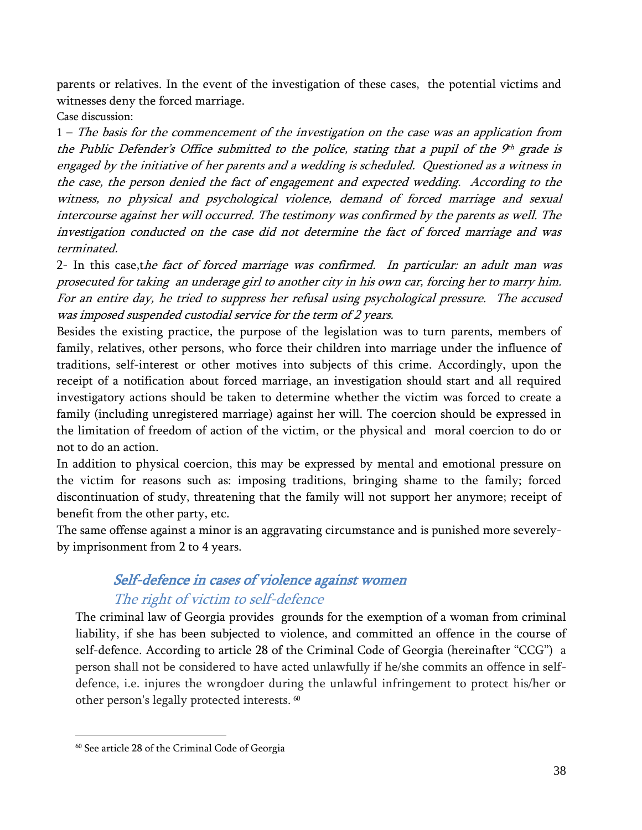parents or relatives. In the event of the investigation of these cases, the potential victims and witnesses deny the forced marriage.

Case discussion:

1 – The basis for the commencement of the investigation on the case was an application from the Public Defender's Office submitted to the police, stating that a pupil of the  $9<sup>th</sup>$  grade is engaged by the initiative of her parents and a wedding is scheduled. Questioned as a witness in the case, the person denied the fact of engagement and expected wedding. According to the witness, no physical and psychological violence, demand of forced marriage and sexual intercourse against her will occurred. The testimony was confirmed by the parents as well. The investigation conducted on the case did not determine the fact of forced marriage and was terminated.

2- In this case,the fact of forced marriage was confirmed. In particular: an adult man was prosecuted for taking an underage girl to another city in his own car, forcing her to marry him. For an entire day, he tried to suppress her refusal using psychological pressure. The accused was imposed suspended custodial service for the term of 2 years.

Besides the existing practice, the purpose of the legislation was to turn parents, members of family, relatives, other persons, who force their children into marriage under the influence of traditions, self-interest or other motives into subjects of this crime. Accordingly, upon the receipt of a notification about forced marriage, an investigation should start and all required investigatory actions should be taken to determine whether the victim was forced to create a family (including unregistered marriage) against her will. The coercion should be expressed in the limitation of freedom of action of the victim, or the physical and moral coercion to do or not to do an action.

In addition to physical coercion, this may be expressed by mental and emotional pressure on the victim for reasons such as: imposing traditions, bringing shame to the family; forced discontinuation of study, threatening that the family will not support her anymore; receipt of benefit from the other party, etc.

The same offense against a minor is an aggravating circumstance and is punished more severelyby imprisonment from 2 to 4 years.

### Self-defence in cases of violence against women The right of victim to self-defence

<span id="page-38-1"></span><span id="page-38-0"></span>The criminal law of Georgia provides grounds for the exemption of a woman from criminal liability, if she has been subjected to violence, and committed an offence in the course of self-defence. According to article 28 of the Criminal Code of Georgia (hereinafter "CCG") a person shall not be considered to have acted unlawfully if he/she commits an offence in selfdefence, i.e. injures the wrongdoer during the unlawful infringement to protect his/her or other person's legally protected interests. 60

 $\overline{a}$ 

<sup>60</sup> See article 28 of the Criminal Code of Georgia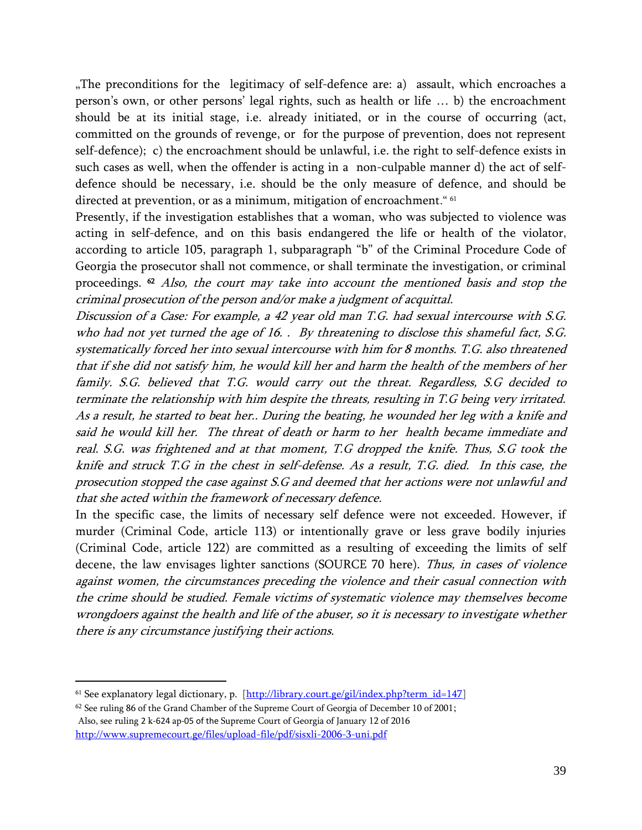"The preconditions for the legitimacy of self-defence are: a) assault, which encroaches a person's own, or other persons' legal rights, such as health or life … b) the encroachment should be at its initial stage, i.e. already initiated, or in the course of occurring (act, committed on the grounds of revenge, or for the purpose of prevention, does not represent self-defence); c) the encroachment should be unlawful, i.e. the right to self-defence exists in such cases as well, when the offender is acting in a non-culpable manner d) the act of selfdefence should be necessary, i.e. should be the only measure of defence, and should be directed at prevention, or as a minimum, mitigation of encroachment." <sup>61</sup>

Presently, if the investigation establishes that a woman, who was subjected to violence was acting in self-defence, and on this basis endangered the life or health of the violator, according to article 105, paragraph 1, subparagraph "b" of the Criminal Procedure Code of Georgia the prosecutor shall not commence, or shall terminate the investigation, or criminal proceedings. <sup>62</sup> Also, the court may take into account the mentioned basis and stop the criminal prosecution of the person and/or make a judgment of acquittal.

Discussion of a Case: For example, a 42 year old man T.G. had sexual intercourse with S.G. who had not yet turned the age of 16. . By threatening to disclose this shameful fact, S.G. systematically forced her into sexual intercourse with him for 8 months. T.G. also threatened that if she did not satisfy him, he would kill her and harm the health of the members of her family. S.G. believed that T.G. would carry out the threat. Regardless, S.G decided to terminate the relationship with him despite the threats, resulting in T.G being very irritated. As a result, he started to beat her.. During the beating, he wounded her leg with a knife and said he would kill her. The threat of death or harm to her health became immediate and real. S.G. was frightened and at that moment, T.G dropped the knife. Thus, S.G took the knife and struck T.G in the chest in self-defense. As a result, T.G. died. In this case, the prosecution stopped the case against S.G and deemed that her actions were not unlawful and that she acted within the framework of necessary defence.

In the specific case, the limits of necessary self defence were not exceeded. However, if murder (Criminal Code, article 113) or intentionally grave or less grave bodily injuries (Criminal Code, article 122) are committed as a resulting of exceeding the limits of self decene, the law envisages lighter sanctions (SOURCE 70 here). Thus, in cases of violence against women, the circumstances preceding the violence and their casual connection with the crime should be studied. Female victims of systematic violence may themselves become wrongdoers against the health and life of the abuser, so it is necessary to investigate whether there is any circumstance justifying their actions.

 $\overline{a}$ 

<sup>&</sup>lt;sup>61</sup> See explanatory legal dictionary, p. [\[http://library.court.ge/gil/index.php?term\\_id=147\]](http://library.court.ge/gil/index.php?term_id=147)

<sup>62</sup> See ruling 86 of the Grand Chamber of the Supreme Court of Georgia of December 10 of 2001; Also, see ruling 2 k-624 ap-05 of the Supreme Court of Georgia of January 12 of 2016 <http://www.supremecourt.ge/files/upload-file/pdf/sisxli-2006-3-uni.pdf>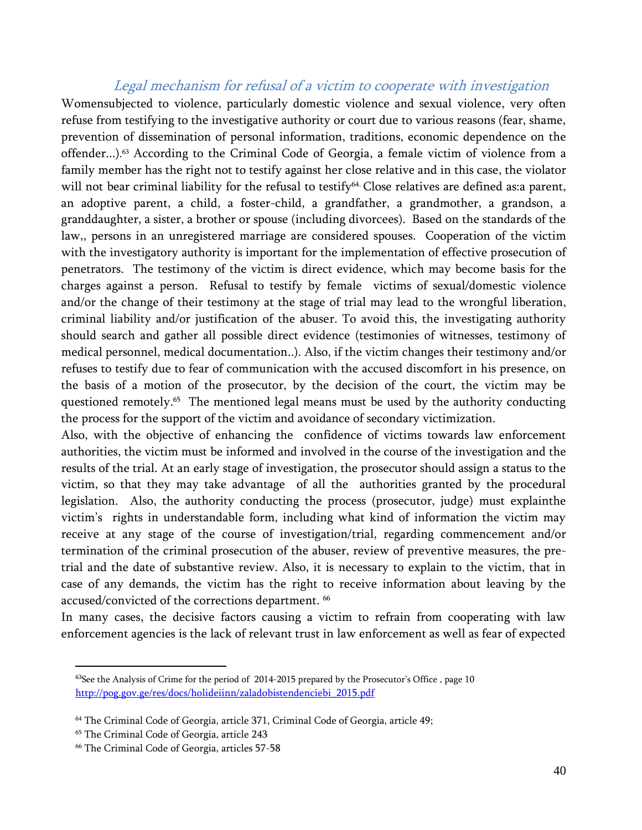#### Legal mechanism for refusal of a victim to cooperate with investigation

<span id="page-40-0"></span>Womensubjected to violence, particularly domestic violence and sexual violence, very often refuse from testifying to the investigative authority or court due to various reasons (fear, shame, prevention of dissemination of personal information, traditions, economic dependence on the offender...). <sup>63</sup> According to the Criminal Code of Georgia, a female victim of violence from a family member has the right not to testify against her close relative and in this case, the violator will not bear criminal liability for the refusal to testify<sup>64.</sup> Close relatives are defined as:a parent, an adoptive parent, a child, a foster-child, a grandfather, a grandmother, a grandson, a granddaughter, a sister, a brother or spouse (including divorcees). Based on the standards of the law,, persons in an unregistered marriage are considered spouses. Cooperation of the victim with the investigatory authority is important for the implementation of effective prosecution of penetrators. The testimony of the victim is direct evidence, which may become basis for the charges against a person. Refusal to testify by female victims of sexual/domestic violence and/or the change of their testimony at the stage of trial may lead to the wrongful liberation, criminal liability and/or justification of the abuser. To avoid this, the investigating authority should search and gather all possible direct evidence (testimonies of witnesses, testimony of medical personnel, medical documentation..). Also, if the victim changes their testimony and/or refuses to testify due to fear of communication with the accused discomfort in his presence, on the basis of a motion of the prosecutor, by the decision of the court, the victim may be questioned remotely. <sup>65</sup> The mentioned legal means must be used by the authority conducting the process for the support of the victim and avoidance of secondary victimization.

Also, with the objective of enhancing the confidence of victims towards law enforcement authorities, the victim must be informed and involved in the course of the investigation and the results of the trial. At an early stage of investigation, the prosecutor should assign a status to the victim, so that they may take advantage of all the authorities granted by the procedural legislation. Also, the authority conducting the process (prosecutor, judge) must explainthe victim's rights in understandable form, including what kind of information the victim may receive at any stage of the course of investigation/trial, regarding commencement and/or termination of the criminal prosecution of the abuser, review of preventive measures, the pretrial and the date of substantive review. Also, it is necessary to explain to the victim, that in case of any demands, the victim has the right to receive information about leaving by the accused/convicted of the corrections department. 66

In many cases, the decisive factors causing a victim to refrain from cooperating with law enforcement agencies is the lack of relevant trust in law enforcement as well as fear of expected

 $63$ See the Analysis of Crime for the period of 2014-2015 prepared by the Prosecutor's Office, page 10 [http://pog.gov.ge/res/docs/holideiinn/zaladobistendenciebi\\_2015.pdf](http://pog.gov.ge/res/docs/holideiinn/zaladobistendenciebi_2015.pdf)

<sup>64</sup> The Criminal Code of Georgia, article 371, Criminal Code of Georgia, article 49;

<sup>65</sup> The Criminal Code of Georgia, article 243

<sup>66</sup> The Criminal Code of Georgia, articles 57-58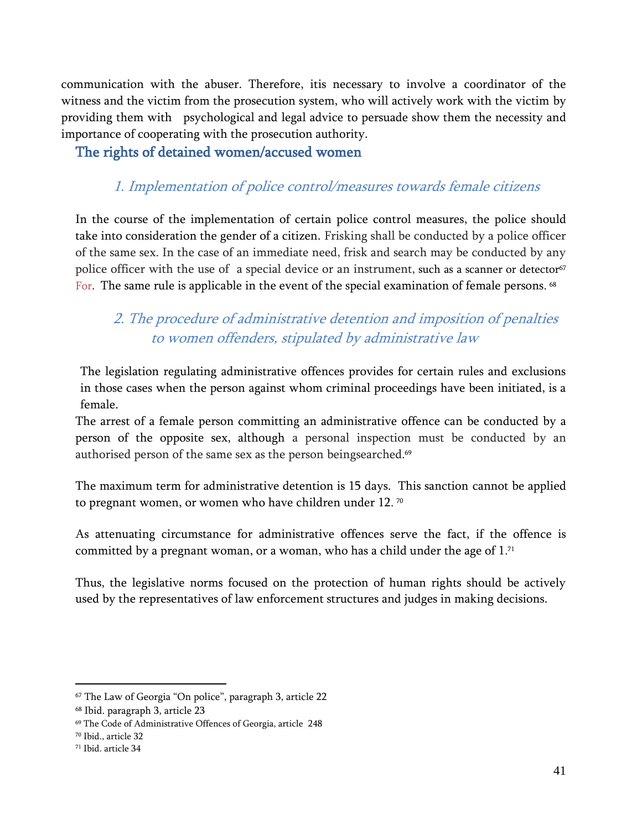communication with the abuser. Therefore, itis necessary to involve a coordinator of the witness and the victim from the prosecution system, who will actively work with the victim by providing them with psychological and legal advice to persuade show them the necessity and importance of cooperating with the prosecution authority.

<span id="page-41-1"></span><span id="page-41-0"></span>The rights of detained women/accused women

### 1. Implementation of police control/measures towards female citizens

In the course of the implementation of certain police control measures, the police should take into consideration the gender of a citizen. Frisking shall be conducted by a police officer of the same sex. In the case of an immediate need, frisk and search may be conducted by any police officer with the use of a special device or an instrument, such as a scanner or detector<sup>67</sup> For. The same rule is applicable in the event of the special examination of female persons.  $^{68}$ 

### <span id="page-41-2"></span>2. The procedure of administrative detention and imposition of penalties to women offenders, stipulated by administrative law

The legislation regulating administrative offences provides for certain rules and exclusions in those cases when the person against whom criminal proceedings have been initiated, is a female.

The arrest of a female person committing an administrative offence can be conducted by a person of the opposite sex, although a personal inspection must be conducted by an authorised person of the same sex as the person beingsearched. 69

The maximum term for administrative detention is 15 days. This sanction cannot be applied to pregnant women, or women who have children under 12.  $^{\rm 70}$ 

As attenuating circumstance for administrative offences serve the fact, if the offence is committed by a pregnant woman, or a woman, who has a child under the age of  $1.^{\scriptscriptstyle 71}$ 

Thus, the legislative norms focused on the protection of human rights should be actively used by the representatives of law enforcement structures and judges in making decisions.

 $\overline{a}$ 

<sup>67</sup> The Law of Georgia "On police", paragraph 3, article 22

<sup>68</sup> Ibid. paragraph 3, article 23

<sup>69</sup> The Code of Administrative Offences of Georgia, article 248

<sup>70</sup> Ibid., article 32

<sup>71</sup> Ibid. article 34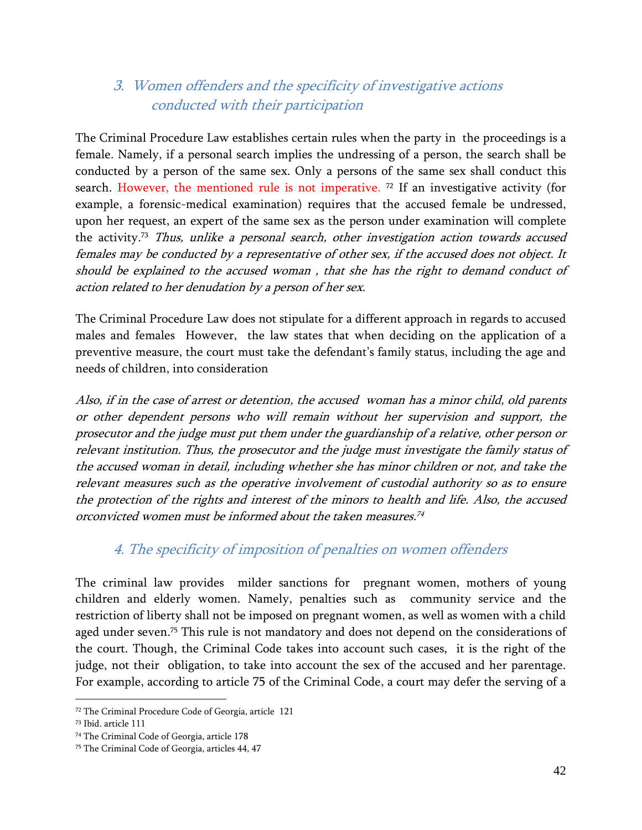### <span id="page-42-0"></span>3. Women offenders and the specificity of investigative actions conducted with their participation

The Criminal Procedure Law establishes certain rules when the party in the proceedings is a female. Namely, if a personal search implies the undressing of a person, the search shall be conducted by a person of the same sex. Only a persons of the same sex shall conduct this search. However, the mentioned rule is not imperative. <sup>72</sup> If an investigative activity (for example, a forensic-medical examination) requires that the accused female be undressed, upon her request, an expert of the same sex as the person under examination will complete the activity.<sup>73</sup> *Thus, unlike a personal search, other investigation action towards accused* females may be conducted by a representative of other sex, if the accused does not object. It should be explained to the accused woman , that she has the right to demand conduct of action related to her denudation by a person of her sex.

The Criminal Procedure Law does not stipulate for a different approach in regards to accused males and females However, the law states that when deciding on the application of a preventive measure, the court must take the defendant's family status, including the age and needs of children, into consideration

Also, if in the case of arrest or detention, the accused woman has a minor child, old parents or other dependent persons who will remain without her supervision and support, the prosecutor and the judge must put them under the guardianship of a relative, other person or relevant institution. Thus, the prosecutor and the judge must investigate the family status of the accused woman in detail, including whether she has minor children or not, and take the relevant measures such as the operative involvement of custodial authority so as to ensure the protection of the rights and interest of the minors to health and life. Also, the accused orconvicted women must be informed about the taken measures. 74

### 4. The specificity of imposition of penalties on women offenders

<span id="page-42-1"></span>The criminal law provides milder sanctions for pregnant women, mothers of young children and elderly women. Namely, penalties such as community service and the restriction of liberty shall not be imposed on pregnant women, as well as women with a child aged under seven. <sup>75</sup> This rule is not mandatory and does not depend on the considerations of the court. Though, the Criminal Code takes into account such cases, it is the right of the judge, not their obligation, to take into account the sex of the accused and her parentage. For example, according to article 75 of the Criminal Code, a court may defer the serving of a

<sup>72</sup> The Criminal Procedure Code of Georgia, article 121

<sup>73</sup> Ibid. article 111

<sup>74</sup> The Criminal Code of Georgia, article 178

<sup>75</sup> The Criminal Code of Georgia, articles 44, 47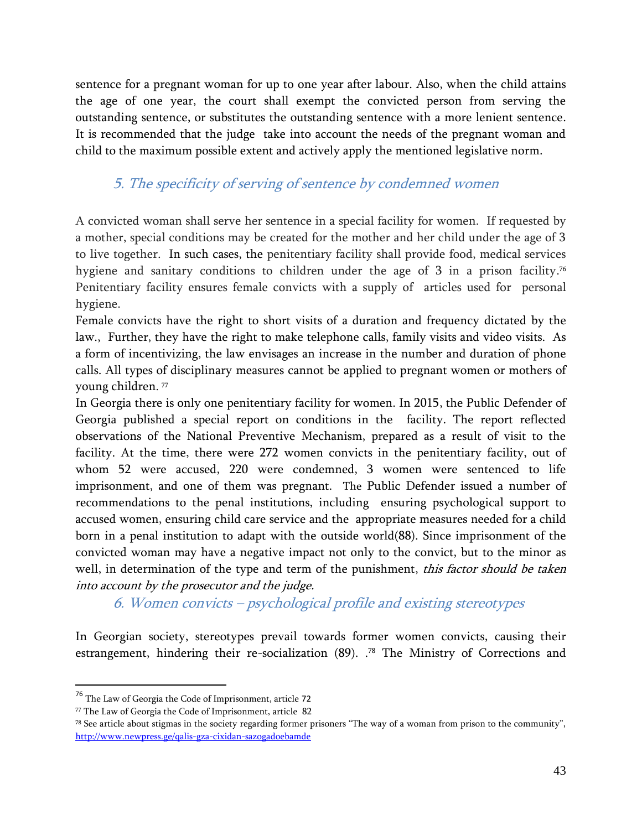sentence for a pregnant woman for up to one year after labour. Also, when the child attains the age of one year, the court shall exempt the convicted person from serving the outstanding sentence, or substitutes the outstanding sentence with a more lenient sentence. It is recommended that the judge take into account the needs of the pregnant woman and child to the maximum possible extent and actively apply the mentioned legislative norm.

### <span id="page-43-0"></span>5. The specificity of serving of sentence by condemned women

A convicted woman shall serve her sentence in a special facility for women. If requested by a mother, special conditions may be created for the mother and her child under the age of 3 to live together. In such cases, the penitentiary facility shall provide food, medical services hygiene and sanitary conditions to children under the age of 3 in a prison facility. 76 Penitentiary facility ensures female convicts with a supply of articles used for personal hygiene.

Female convicts have the right to short visits of a duration and frequency dictated by the law., Further, they have the right to make telephone calls, family visits and video visits. As a form of incentivizing, the law envisages an increase in the number and duration of phone calls. All types of disciplinary measures cannot be applied to pregnant women or mothers of young children. 77

In Georgia there is only one penitentiary facility for women. In 2015, the Public Defender of Georgia published a special report on conditions in the facility. The report reflected observations of the National Preventive Mechanism, prepared as a result of visit to the facility. At the time, there were 272 women convicts in the penitentiary facility, out of whom 52 were accused, 220 were condemned, 3 women were sentenced to life imprisonment, and one of them was pregnant. The Public Defender issued a number of recommendations to the penal institutions, including ensuring psychological support to accused women, ensuring child care service and the appropriate measures needed for a child born in a penal institution to adapt with the outside world(88). Since imprisonment of the convicted woman may have a negative impact not only to the convict, but to the minor as well, in determination of the type and term of the punishment, this factor should be taken into account by the prosecutor and the judge.

6. Women convicts – psychological profile and existing stereotypes

<span id="page-43-1"></span>In Georgian society, stereotypes prevail towards former women convicts, causing their estrangement, hindering their re-socialization (89). . <sup>78</sup> The Ministry of Corrections and

 $\overline{a}$ 

<sup>76</sup> The Law of Georgia the Code of Imprisonment, article 72

<sup>77</sup> The Law of Georgia the Code of Imprisonment, article 82

<sup>78</sup> See article about stigmas in the society regarding former prisoners "The way of a woman from prison to the community", <http://www.newpress.ge/qalis-gza-cixidan-sazogadoebamde>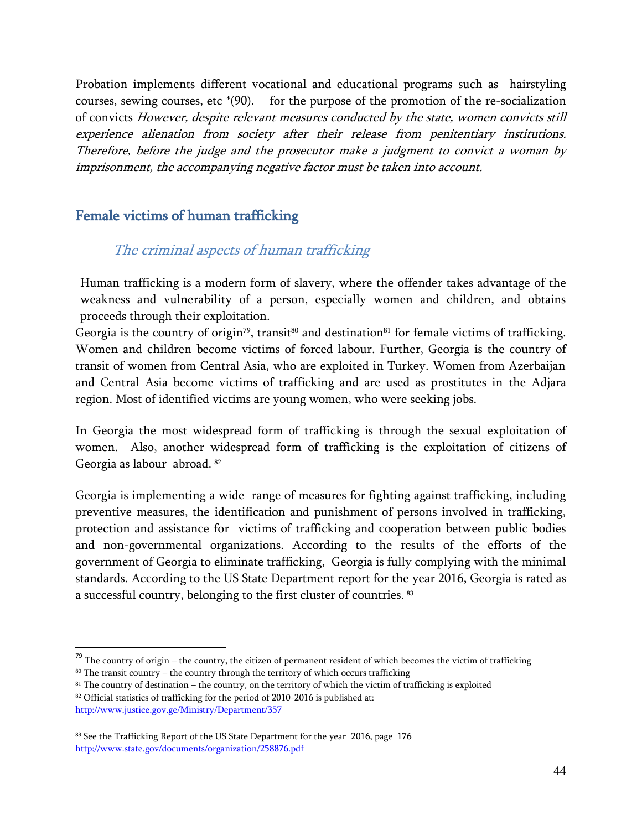Probation implements different vocational and educational programs such as hairstyling courses, sewing courses, etc \*(90). for the purpose of the promotion of the re-socialization of convicts However, despite relevant measures conducted by the state, women convicts still experience alienation from society after their release from penitentiary institutions. Therefore, before the judge and the prosecutor make a judgment to convict a woman by imprisonment, the accompanying negative factor must be taken into account.

### <span id="page-44-1"></span><span id="page-44-0"></span>Female victims of human trafficking

### The criminal aspects of human trafficking

Human trafficking is a modern form of slavery, where the offender takes advantage of the weakness and vulnerability of a person, especially women and children, and obtains proceeds through their exploitation.

Georgia is the country of origin<sup>79</sup>, transit<sup>80</sup> and destination<sup>81</sup> for female victims of trafficking. Women and children become victims of forced labour. Further, Georgia is the country of transit of women from Central Asia, who are exploited in Turkey. Women from Azerbaijan and Central Asia become victims of trafficking and are used as prostitutes in the Adjara region. Most of identified victims are young women, who were seeking jobs.

In Georgia the most widespread form of trafficking is through the sexual exploitation of women. Also, another widespread form of trafficking is the exploitation of citizens of Georgia as labour abroad. 82

Georgia is implementing a wide range of measures for fighting against trafficking, including preventive measures, the identification and punishment of persons involved in trafficking, protection and assistance for victims of trafficking and cooperation between public bodies and non-governmental organizations. According to the results of the efforts of the government of Georgia to eliminate trafficking, Georgia is fully complying with the minimal standards. According to the US State Department report for the year 2016, Georgia is rated as a successful country, belonging to the first cluster of countries.  $^{\text{83}}$ 

 $79$  The country of origin – the country, the citizen of permanent resident of which becomes the victim of trafficking

 $80$  The transit country – the country through the territory of which occurs trafficking

<sup>81</sup> The country of destination – the country, on the territory of which the victim of trafficking is exploited

<sup>82</sup> Official statistics of trafficking for the period of 2010-2016 is published at: <http://www.justice.gov.ge/Ministry/Department/357>

<sup>83</sup> See the Trafficking Report of the US State Department for the year 2016, page 176 <http://www.state.gov/documents/organization/258876.pdf>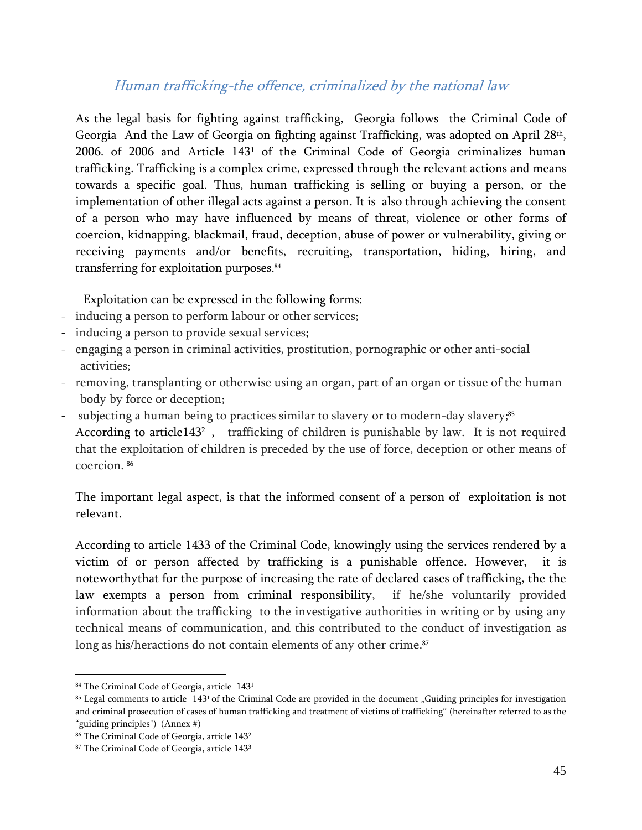### Human trafficking-the offence, criminalized by the national law

<span id="page-45-0"></span>As the legal basis for fighting against trafficking, Georgia follows the Criminal Code of Georgia And the Law of Georgia on fighting against Trafficking, was adopted on April 28th, 2006. of 2006 and Article 143<sup>1</sup> of the Criminal Code of Georgia criminalizes human trafficking. Trafficking is a complex crime, expressed through the relevant actions and means towards a specific goal. Thus, human trafficking is selling or buying a person, or the implementation of other illegal acts against a person. It is also through achieving the consent of a person who may have influenced by means of threat, violence or other forms of coercion, kidnapping, blackmail, fraud, deception, abuse of power or vulnerability, giving or receiving payments and/or benefits, recruiting, transportation, hiding, hiring, and transferring for exploitation purposes. 84

Exploitation can be expressed in the following forms:

- inducing a person to perform labour or other services;
- inducing a person to provide sexual services;
- engaging a person in criminal activities, prostitution, pornographic or other anti-social activities;
- removing, transplanting or otherwise using an organ, part of an organ or tissue of the human body by force or deception;
- subjecting a human being to practices similar to slavery or to modern-day slavery;<sup>85</sup> According to article143<sup>2</sup>, trafficking of children is punishable by law. It is not required that the exploitation of children is preceded by the use of force, deception or other means of coercion. 86

The important legal aspect, is that the informed consent of a person of exploitation is not relevant.

According to article 1433 of the Criminal Code, knowingly using the services rendered by a victim of or person affected by trafficking is a punishable offence. However, it is noteworthythat for the purpose of increasing the rate of declared cases of trafficking, the the law exempts a person from criminal responsibility, if he/she voluntarily provided information about the trafficking to the investigative authorities in writing or by using any technical means of communication, and this contributed to the conduct of investigation as long as his/heractions do not contain elements of any other crime. 87

 $\overline{\phantom{a}}$ 84 The Criminal Code of Georgia, article 143<sup>1</sup>

<sup>&</sup>lt;sup>85</sup> Legal comments to article 143<sup>1</sup> of the Criminal Code are provided in the document "Guiding principles for investigation and criminal prosecution of cases of human trafficking and treatment of victims of trafficking" (hereinafter referred to as the "guiding principles") (Annex #)

<sup>86</sup> The Criminal Code of Georgia, article 143<sup>2</sup>

<sup>87</sup> The Criminal Code of Georgia, article 143<sup>3</sup>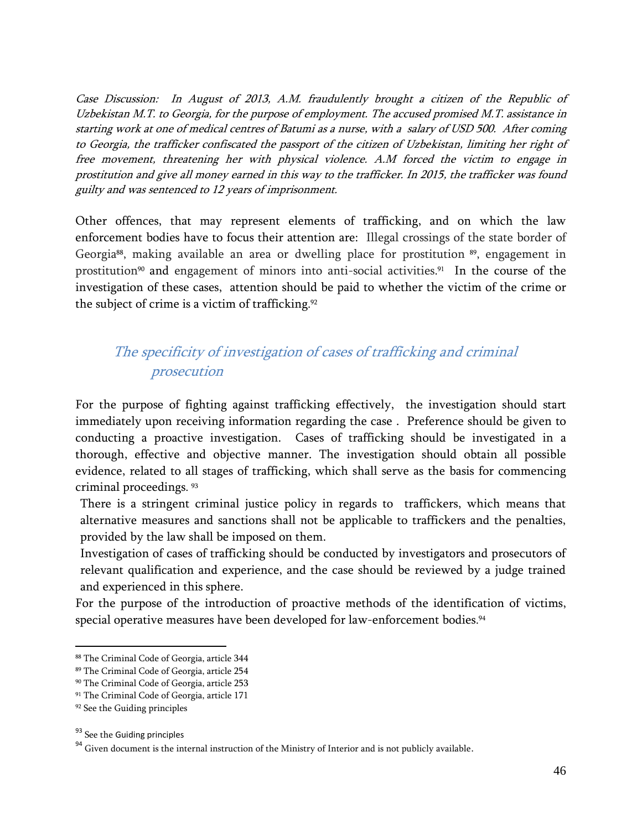Case Discussion: In August of 2013, A.M. fraudulently brought a citizen of the Republic of Uzbekistan M.T. to Georgia, for the purpose of employment. The accused promised M.T. assistance in starting work at one of medical centres of Batumi as a nurse, with a salary of USD 500. After coming to Georgia, the trafficker confiscated the passport of the citizen of Uzbekistan, limiting her right of free movement, threatening her with physical violence. A.M forced the victim to engage in prostitution and give all money earned in this way to the trafficker. In 2015, the trafficker was found guilty and was sentenced to 12 years of imprisonment.

Other offences, that may represent elements of trafficking, and on which the law enforcement bodies have to focus their attention are: Illegal crossings of the state border of Georgia<sup>88</sup>, making available an area or dwelling place for prostitution <sup>89</sup>, engagement in prostitution<sup>90</sup> and engagement of minors into anti-social activities.<sup>91</sup> In the course of the investigation of these cases, attention should be paid to whether the victim of the crime or the subject of crime is a victim of trafficking. 92

### <span id="page-46-0"></span>The specificity of investigation of cases of trafficking and criminal prosecution

For the purpose of fighting against trafficking effectively, the investigation should start immediately upon receiving information regarding the case . Preference should be given to conducting a proactive investigation. Cases of trafficking should be investigated in a thorough, effective and objective manner. The investigation should obtain all possible evidence, related to all stages of trafficking, which shall serve as the basis for commencing criminal proceedings. 93

There is a stringent criminal justice policy in regards to traffickers, which means that alternative measures and sanctions shall not be applicable to traffickers and the penalties, provided by the law shall be imposed on them.

Investigation of cases of trafficking should be conducted by investigators and prosecutors of relevant qualification and experience, and the case should be reviewed by a judge trained and experienced in this sphere.

For the purpose of the introduction of proactive methods of the identification of victims, special operative measures have been developed for law-enforcement bodies. 94

 $\overline{a}$ 

<sup>88</sup> The Criminal Code of Georgia, article 344

<sup>89</sup> The Criminal Code of Georgia, article 254

<sup>90</sup> The Criminal Code of Georgia, article 253

<sup>91</sup> The Criminal Code of Georgia, article 171

<sup>92</sup> See the Guiding principles

<sup>&</sup>lt;sup>93</sup> See the Guiding principles

 $^{94}$  Given document is the internal instruction of the Ministry of Interior and is not publicly available.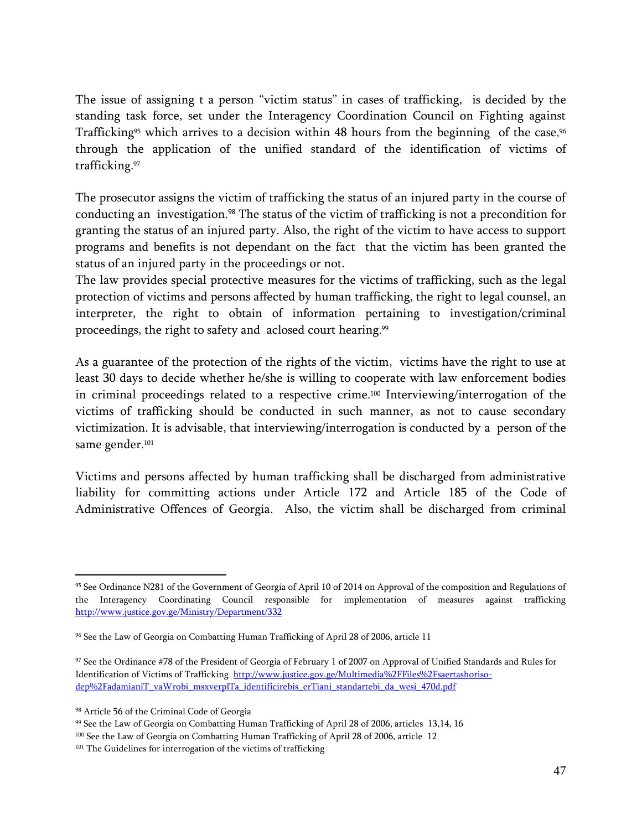The issue of assigning t a person "victim status" in cases of trafficking, is decided by the standing task force, set under the Interagency Coordination Council on Fighting against Trafficking<sup>95</sup> which arrives to a decision within  $48$  hours from the beginning  $\,$  of the case, $^{96}$ through the application of the unified standard of the identification of victims of trafficking. 97

The prosecutor assigns the victim of trafficking the status of an injured party in the course of conducting an investigation.<sup>98</sup> The status of the victim of trafficking is not a precondition for granting the status of an injured party. Also, the right of the victim to have access to support programs and benefits is not dependant on the fact that the victim has been granted the status of an injured party in the proceedings or not.

The law provides special protective measures for the victims of trafficking, such as the legal protection of victims and persons affected by human trafficking, the right to legal counsel, an interpreter, the right to obtain of information pertaining to investigation/criminal proceedings, the right to safety and aclosed court hearing. 99

As a guarantee of the protection of the rights of the victim, victims have the right to use at least 30 days to decide whether he/she is willing to cooperate with law enforcement bodies in criminal proceedings related to a respective crime. <sup>100</sup> Interviewing/interrogation of the victims of trafficking should be conducted in such manner, as not to cause secondary victimization. It is advisable, that interviewing/interrogation is conducted by a person of the same gender. 101

Victims and persons affected by human trafficking shall be discharged from administrative liability for committing actions under Article 172 and Article 185 of the Code of Administrative Offences of Georgia. Also, the victim shall be discharged from criminal

<sup>95</sup> See Ordinance N281 of the Government of Georgia of April 10 of 2014 on Approval of the composition and Regulations of the Interagency Coordinating Council responsible for implementation of measures against trafficking <http://www.justice.gov.ge/Ministry/Department/332>

<sup>96</sup> See the Law of Georgia on Combatting Human Trafficking of April 28 of 2006, article 11

<sup>97</sup> See the Ordinance #78 of the President of Georgia of February 1 of 2007 on Approval of Unified Standards and Rules for Identification of Victims of Trafficking [http://www.justice.gov.ge/Multimedia%2FFiles%2Fsaertashoriso](http://www.justice.gov.ge/Multimedia%2FFiles%2Fsaertashoriso-dep%2FadamianiT_vaWrobi_msxverplTa_identificirebis_erTiani_standartebi_da_wesi_470d.pdf)[dep%2FadamianiT\\_vaWrobi\\_msxverplTa\\_identificirebis\\_erTiani\\_standartebi\\_da\\_wesi\\_470d.pdf](http://www.justice.gov.ge/Multimedia%2FFiles%2Fsaertashoriso-dep%2FadamianiT_vaWrobi_msxverplTa_identificirebis_erTiani_standartebi_da_wesi_470d.pdf)

<sup>98</sup> Article 56 of the Criminal Code of Georgia

<sup>99</sup> See the Law of Georgia on Combatting Human Trafficking of April 28 of 2006, articles 13,14, 16

<sup>&</sup>lt;sup>100</sup> See the Law of Georgia on Combatting Human Trafficking of April 28 of 2006, article 12

<sup>&</sup>lt;sup>101</sup> The Guidelines for interrogation of the victims of trafficking